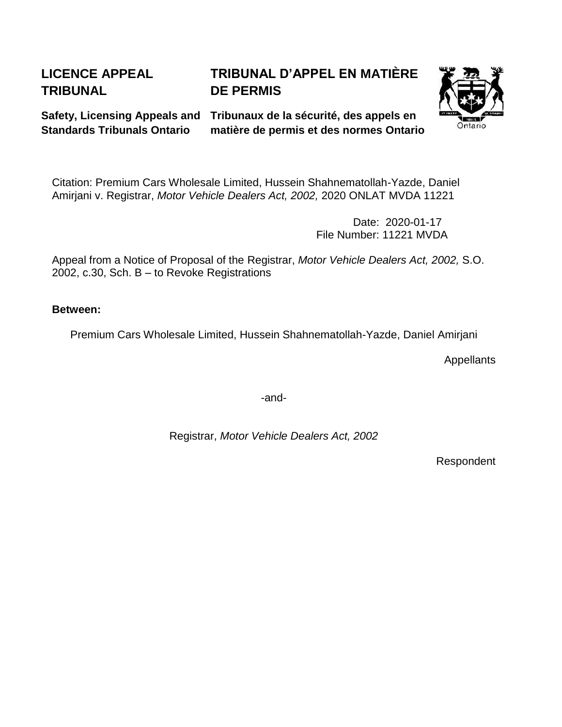# **LICENCE APPEAL TRIBUNAL**

# **TRIBUNAL D'APPEL EN MATIÈRE DE PERMIS**

**Standards Tribunals Ontario**

**Safety, Licensing Appeals and Tribunaux de la sécurité, des appels en matière de permis et des normes Ontario**



Citation: Premium Cars Wholesale Limited, Hussein Shahnematollah-Yazde, Daniel Amirjani v. Registrar, *Motor Vehicle Dealers Act, 2002,* 2020 ONLAT MVDA 11221

> Date: 2020-01-17 File Number: 11221 MVDA

Appeal from a Notice of Proposal of the Registrar, *Motor Vehicle Dealers Act, 2002,* S.O. 2002, c.30, Sch. B – to Revoke Registrations

**Between:**

Premium Cars Wholesale Limited, Hussein Shahnematollah-Yazde, Daniel Amirjani

**Appellants** 

-and-

Registrar, *Motor Vehicle Dealers Act, 2002*

Respondent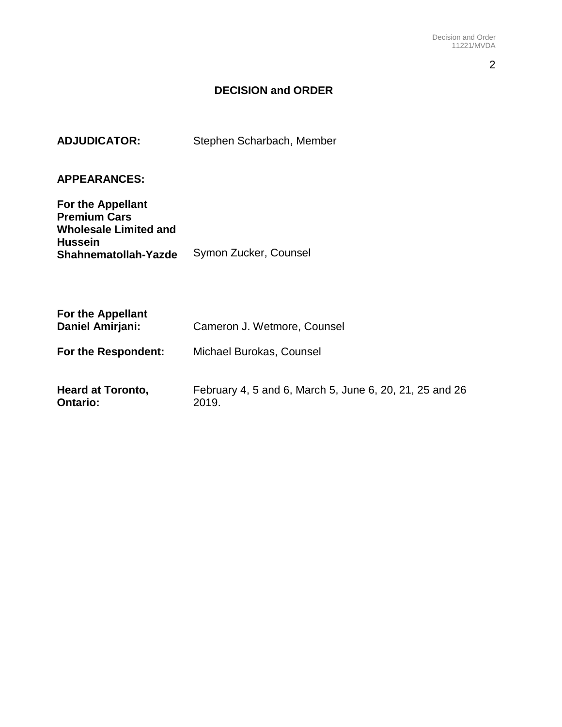2

# **DECISION and ORDER**

# **ADJUDICATOR:** Stephen Scharbach, Member

# **APPEARANCES:**

| For the Appellant            |                       |
|------------------------------|-----------------------|
| <b>Premium Cars</b>          |                       |
| <b>Wholesale Limited and</b> |                       |
| <b>Hussein</b>               |                       |
| Shahnematollah-Yazde         | Symon Zucker, Counsel |

| <b>For the Appellant</b><br>Daniel Amirjani: | Cameron J. Wetmore, Counsel                                      |  |  |  |
|----------------------------------------------|------------------------------------------------------------------|--|--|--|
| For the Respondent:                          | Michael Burokas, Counsel                                         |  |  |  |
| <b>Heard at Toronto,</b><br><b>Ontario:</b>  | February 4, 5 and 6, March 5, June 6, 20, 21, 25 and 26<br>2019. |  |  |  |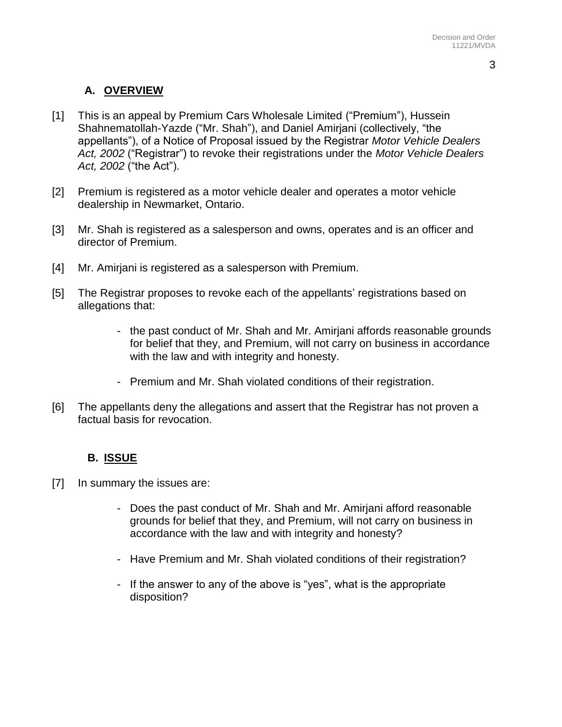# **A. OVERVIEW**

- [1] This is an appeal by Premium Cars Wholesale Limited ("Premium"), Hussein Shahnematollah-Yazde ("Mr. Shah"), and Daniel Amirjani (collectively, "the appellants"), of a Notice of Proposal issued by the Registrar *Motor Vehicle Dealers Act, 2002* ("Registrar") to revoke their registrations under the *Motor Vehicle Dealers Act, 2002* ("the Act").
- [2] Premium is registered as a motor vehicle dealer and operates a motor vehicle dealership in Newmarket, Ontario.
- [3] Mr. Shah is registered as a salesperson and owns, operates and is an officer and director of Premium.
- [4] Mr. Amirjani is registered as a salesperson with Premium.
- [5] The Registrar proposes to revoke each of the appellants' registrations based on allegations that:
	- the past conduct of Mr. Shah and Mr. Amirjani affords reasonable grounds for belief that they, and Premium, will not carry on business in accordance with the law and with integrity and honesty.
	- Premium and Mr. Shah violated conditions of their registration.
- [6] The appellants deny the allegations and assert that the Registrar has not proven a factual basis for revocation.

### **B. ISSUE**

- [7] In summary the issues are:
	- Does the past conduct of Mr. Shah and Mr. Amirjani afford reasonable grounds for belief that they, and Premium, will not carry on business in accordance with the law and with integrity and honesty?
	- Have Premium and Mr. Shah violated conditions of their registration?
	- If the answer to any of the above is "yes", what is the appropriate disposition?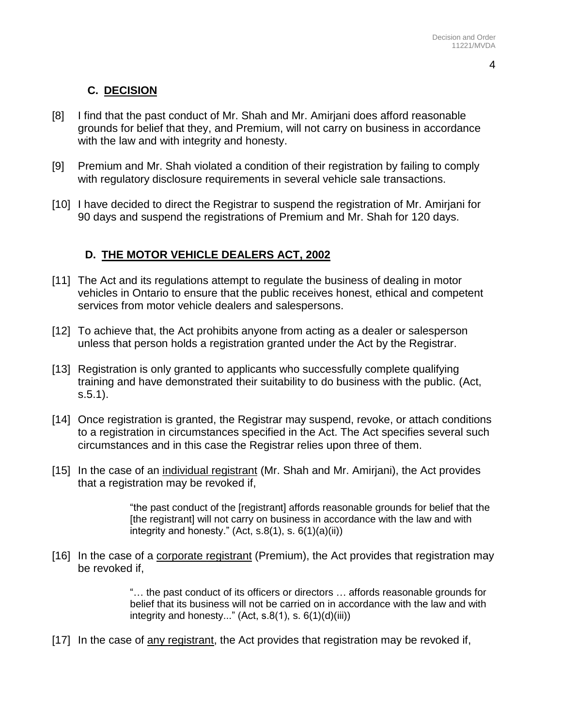# **C. DECISION**

- [8] I find that the past conduct of Mr. Shah and Mr. Amirjani does afford reasonable grounds for belief that they, and Premium, will not carry on business in accordance with the law and with integrity and honesty.
- [9] Premium and Mr. Shah violated a condition of their registration by failing to comply with regulatory disclosure requirements in several vehicle sale transactions.
- [10] I have decided to direct the Registrar to suspend the registration of Mr. Amirjani for 90 days and suspend the registrations of Premium and Mr. Shah for 120 days.

## **D. THE MOTOR VEHICLE DEALERS ACT, 2002**

- [11] The Act and its regulations attempt to regulate the business of dealing in motor vehicles in Ontario to ensure that the public receives honest, ethical and competent services from motor vehicle dealers and salespersons.
- [12] To achieve that, the Act prohibits anyone from acting as a dealer or salesperson unless that person holds a registration granted under the Act by the Registrar.
- [13] Registration is only granted to applicants who successfully complete qualifying training and have demonstrated their suitability to do business with the public. (Act, s.5.1).
- [14] Once registration is granted, the Registrar may suspend, revoke, or attach conditions to a registration in circumstances specified in the Act. The Act specifies several such circumstances and in this case the Registrar relies upon three of them.
- [15] In the case of an individual registrant (Mr. Shah and Mr. Amirjani), the Act provides that a registration may be revoked if,

"the past conduct of the [registrant] affords reasonable grounds for belief that the [the registrant] will not carry on business in accordance with the law and with integrity and honesty." (Act,  $s.8(1)$ ,  $s. 6(1)(a)(ii)$ )

[16] In the case of a corporate registrant (Premium), the Act provides that registration may be revoked if,

> "… the past conduct of its officers or directors … affords reasonable grounds for belief that its business will not be carried on in accordance with the law and with integrity and honesty..." (Act,  $s.8(1)$ ,  $s. 6(1)(d)(iii)$ )

[17] In the case of any registrant, the Act provides that registration may be revoked if,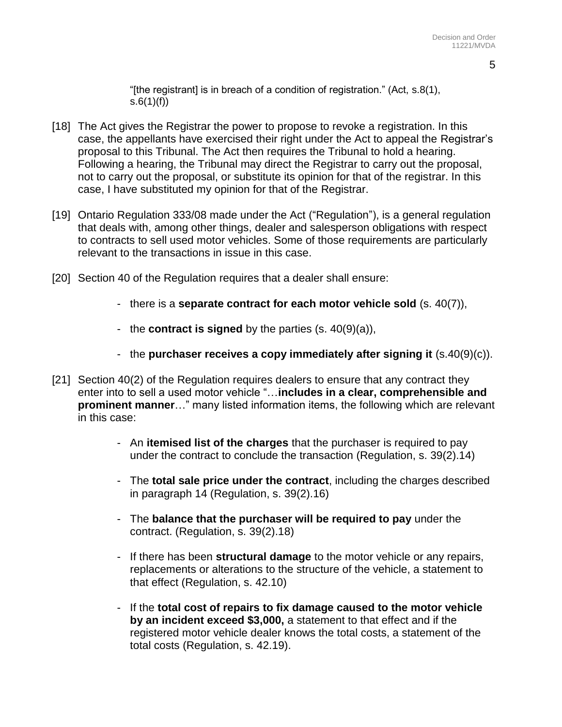"[the registrant] is in breach of a condition of registration." (Act, s.8(1),  $s.6(1)(f)$ 

- [18] The Act gives the Registrar the power to propose to revoke a registration. In this case, the appellants have exercised their right under the Act to appeal the Registrar's proposal to this Tribunal. The Act then requires the Tribunal to hold a hearing. Following a hearing, the Tribunal may direct the Registrar to carry out the proposal, not to carry out the proposal, or substitute its opinion for that of the registrar. In this case, I have substituted my opinion for that of the Registrar.
- [19] Ontario Regulation 333/08 made under the Act ("Regulation"), is a general regulation that deals with, among other things, dealer and salesperson obligations with respect to contracts to sell used motor vehicles. Some of those requirements are particularly relevant to the transactions in issue in this case.
- [20] Section 40 of the Regulation requires that a dealer shall ensure:
	- there is a **separate contract for each motor vehicle sold** (s. 40(7)),
	- the **contract is signed** by the parties (s. 40(9)(a)),
	- the **purchaser receives a copy immediately after signing it** (s.40(9)(c)).
- [21] Section 40(2) of the Regulation requires dealers to ensure that any contract they enter into to sell a used motor vehicle "…**includes in a clear, comprehensible and prominent manner**…" many listed information items, the following which are relevant in this case:
	- An **itemised list of the charges** that the purchaser is required to pay under the contract to conclude the transaction (Regulation, s. 39(2).14)
	- The **total sale price under the contract**, including the charges described in paragraph 14 (Regulation, s. 39(2).16)
	- The **balance that the purchaser will be required to pay** under the contract. (Regulation, s. 39(2).18)
	- If there has been **structural damage** to the motor vehicle or any repairs, replacements or alterations to the structure of the vehicle, a statement to that effect (Regulation, s. 42.10)
	- If the **total cost of repairs to fix damage caused to the motor vehicle by an incident exceed \$3,000,** a statement to that effect and if the registered motor vehicle dealer knows the total costs, a statement of the total costs (Regulation, s. 42.19).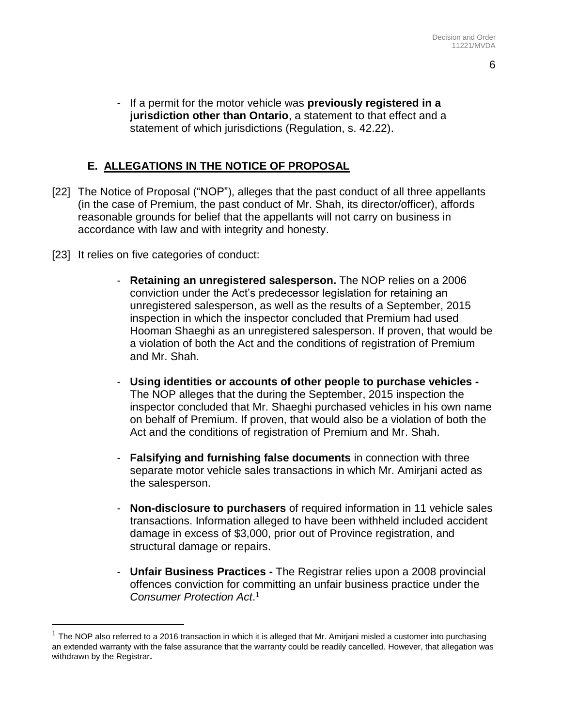- 6
- If a permit for the motor vehicle was **previously registered in a jurisdiction other than Ontario**, a statement to that effect and a statement of which jurisdictions (Regulation, s. 42.22).

## **E. ALLEGATIONS IN THE NOTICE OF PROPOSAL**

- [22] The Notice of Proposal ("NOP"), alleges that the past conduct of all three appellants (in the case of Premium, the past conduct of Mr. Shah, its director/officer), affords reasonable grounds for belief that the appellants will not carry on business in accordance with law and with integrity and honesty.
- [23] It relies on five categories of conduct:

 $\overline{a}$ 

- **Retaining an unregistered salesperson.** The NOP relies on a 2006 conviction under the Act's predecessor legislation for retaining an unregistered salesperson, as well as the results of a September, 2015 inspection in which the inspector concluded that Premium had used Hooman Shaeghi as an unregistered salesperson. If proven, that would be a violation of both the Act and the conditions of registration of Premium and Mr. Shah.
- **Using identities or accounts of other people to purchase vehicles -** The NOP alleges that the during the September, 2015 inspection the inspector concluded that Mr. Shaeghi purchased vehicles in his own name on behalf of Premium. If proven, that would also be a violation of both the Act and the conditions of registration of Premium and Mr. Shah.
- **Falsifying and furnishing false documents** in connection with three separate motor vehicle sales transactions in which Mr. Amirjani acted as the salesperson.
- **Non-disclosure to purchasers** of required information in 11 vehicle sales transactions. Information alleged to have been withheld included accident damage in excess of \$3,000, prior out of Province registration, and structural damage or repairs.
- **Unfair Business Practices -** The Registrar relies upon a 2008 provincial offences conviction for committing an unfair business practice under the *Consumer Protection Act*. 1

 $^1$  The NOP also referred to a 2016 transaction in which it is alleged that Mr. Amirjani misled a customer into purchasing an extended warranty with the false assurance that the warranty could be readily cancelled. However, that allegation was withdrawn by the Registrar**.**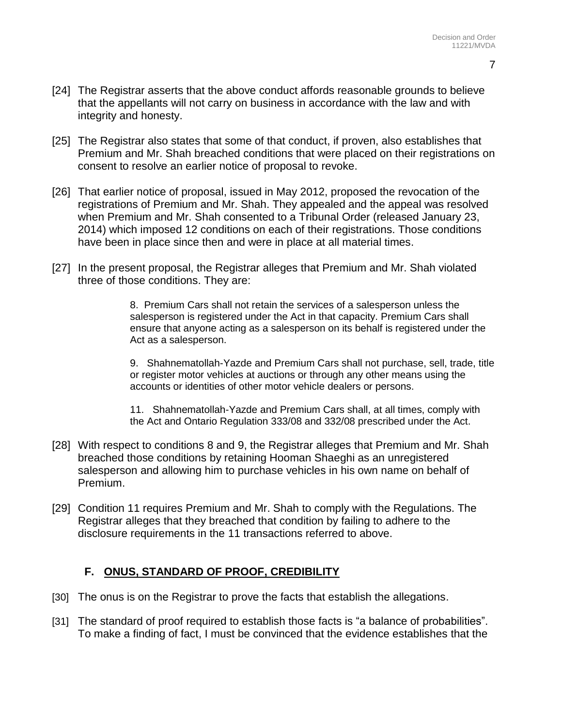- 7
- [24] The Registrar asserts that the above conduct affords reasonable grounds to believe that the appellants will not carry on business in accordance with the law and with integrity and honesty.
- [25] The Registrar also states that some of that conduct, if proven, also establishes that Premium and Mr. Shah breached conditions that were placed on their registrations on consent to resolve an earlier notice of proposal to revoke.
- [26] That earlier notice of proposal, issued in May 2012, proposed the revocation of the registrations of Premium and Mr. Shah. They appealed and the appeal was resolved when Premium and Mr. Shah consented to a Tribunal Order (released January 23, 2014) which imposed 12 conditions on each of their registrations. Those conditions have been in place since then and were in place at all material times.
- [27] In the present proposal, the Registrar alleges that Premium and Mr. Shah violated three of those conditions. They are:

8. Premium Cars shall not retain the services of a salesperson unless the salesperson is registered under the Act in that capacity. Premium Cars shall ensure that anyone acting as a salesperson on its behalf is registered under the Act as a salesperson.

9. Shahnematollah-Yazde and Premium Cars shall not purchase, sell, trade, title or register motor vehicles at auctions or through any other means using the accounts or identities of other motor vehicle dealers or persons.

11. Shahnematollah-Yazde and Premium Cars shall, at all times, comply with the Act and Ontario Regulation 333/08 and 332/08 prescribed under the Act.

- [28] With respect to conditions 8 and 9, the Registrar alleges that Premium and Mr. Shah breached those conditions by retaining Hooman Shaeghi as an unregistered salesperson and allowing him to purchase vehicles in his own name on behalf of Premium.
- [29] Condition 11 requires Premium and Mr. Shah to comply with the Regulations. The Registrar alleges that they breached that condition by failing to adhere to the disclosure requirements in the 11 transactions referred to above.

# **F. ONUS, STANDARD OF PROOF, CREDIBILITY**

- [30] The onus is on the Registrar to prove the facts that establish the allegations.
- [31] The standard of proof required to establish those facts is "a balance of probabilities". To make a finding of fact, I must be convinced that the evidence establishes that the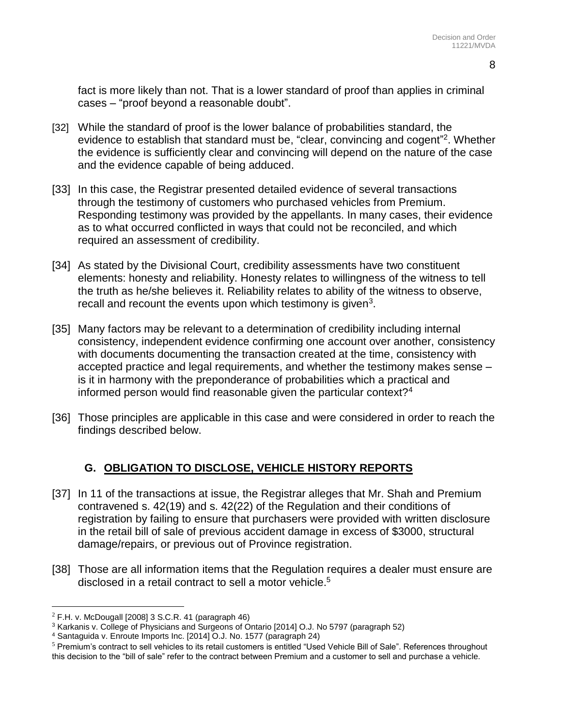8

fact is more likely than not. That is a lower standard of proof than applies in criminal cases – "proof beyond a reasonable doubt".

- [32] While the standard of proof is the lower balance of probabilities standard, the evidence to establish that standard must be, "clear, convincing and cogent" 2 . Whether the evidence is sufficiently clear and convincing will depend on the nature of the case and the evidence capable of being adduced.
- [33] In this case, the Registrar presented detailed evidence of several transactions through the testimony of customers who purchased vehicles from Premium. Responding testimony was provided by the appellants. In many cases, their evidence as to what occurred conflicted in ways that could not be reconciled, and which required an assessment of credibility.
- [34] As stated by the Divisional Court, credibility assessments have two constituent elements: honesty and reliability. Honesty relates to willingness of the witness to tell the truth as he/she believes it. Reliability relates to ability of the witness to observe, recall and recount the events upon which testimony is given $3$ .
- [35] Many factors may be relevant to a determination of credibility including internal consistency, independent evidence confirming one account over another, consistency with documents documenting the transaction created at the time, consistency with accepted practice and legal requirements, and whether the testimony makes sense – is it in harmony with the preponderance of probabilities which a practical and informed person would find reasonable given the particular context?<sup>4</sup>
- [36] Those principles are applicable in this case and were considered in order to reach the findings described below.

# **G. OBLIGATION TO DISCLOSE, VEHICLE HISTORY REPORTS**

- [37] In 11 of the transactions at issue, the Registrar alleges that Mr. Shah and Premium contravened s. 42(19) and s. 42(22) of the Regulation and their conditions of registration by failing to ensure that purchasers were provided with written disclosure in the retail bill of sale of previous accident damage in excess of \$3000, structural damage/repairs, or previous out of Province registration.
- [38] Those are all information items that the Regulation requires a dealer must ensure are disclosed in a retail contract to sell a motor vehicle. 5

 $\overline{a}$ 

 $2$  F.H. v. McDougall [2008] 3 S.C.R. 41 (paragraph 46)

<sup>3</sup> Karkanis v. College of Physicians and Surgeons of Ontario [2014] O.J. No 5797 (paragraph 52)

<sup>4</sup> Santaguida v. Enroute Imports Inc. [2014] O.J. No. 1577 (paragraph 24)

<sup>&</sup>lt;sup>5</sup> Premium's contract to sell vehicles to its retail customers is entitled "Used Vehicle Bill of Sale". References throughout this decision to the "bill of sale" refer to the contract between Premium and a customer to sell and purchase a vehicle.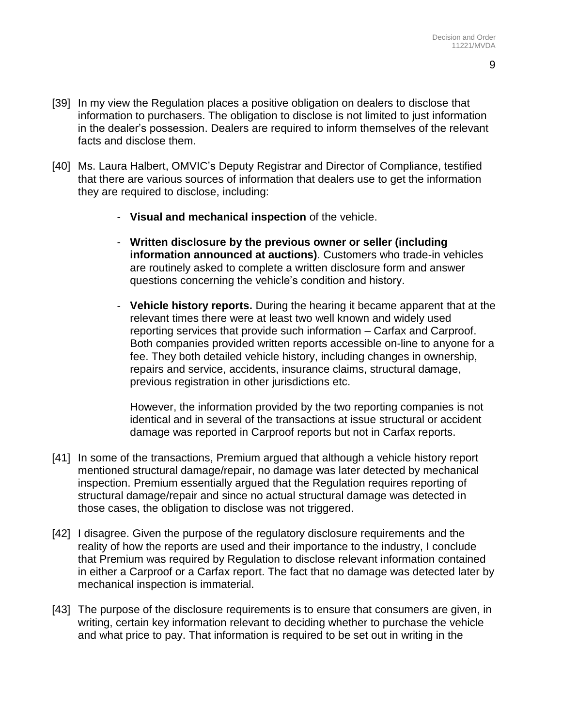- [39] In my view the Regulation places a positive obligation on dealers to disclose that information to purchasers. The obligation to disclose is not limited to just information in the dealer's possession. Dealers are required to inform themselves of the relevant facts and disclose them.
- [40] Ms. Laura Halbert, OMVIC's Deputy Registrar and Director of Compliance, testified that there are various sources of information that dealers use to get the information they are required to disclose, including:
	- **Visual and mechanical inspection** of the vehicle.
	- **Written disclosure by the previous owner or seller (including information announced at auctions)**. Customers who trade-in vehicles are routinely asked to complete a written disclosure form and answer questions concerning the vehicle's condition and history.
	- **Vehicle history reports.** During the hearing it became apparent that at the relevant times there were at least two well known and widely used reporting services that provide such information – Carfax and Carproof. Both companies provided written reports accessible on-line to anyone for a fee. They both detailed vehicle history, including changes in ownership, repairs and service, accidents, insurance claims, structural damage, previous registration in other jurisdictions etc.

However, the information provided by the two reporting companies is not identical and in several of the transactions at issue structural or accident damage was reported in Carproof reports but not in Carfax reports.

- [41] In some of the transactions, Premium argued that although a vehicle history report mentioned structural damage/repair, no damage was later detected by mechanical inspection. Premium essentially argued that the Regulation requires reporting of structural damage/repair and since no actual structural damage was detected in those cases, the obligation to disclose was not triggered.
- [42] I disagree. Given the purpose of the regulatory disclosure requirements and the reality of how the reports are used and their importance to the industry, I conclude that Premium was required by Regulation to disclose relevant information contained in either a Carproof or a Carfax report. The fact that no damage was detected later by mechanical inspection is immaterial.
- [43] The purpose of the disclosure requirements is to ensure that consumers are given, in writing, certain key information relevant to deciding whether to purchase the vehicle and what price to pay. That information is required to be set out in writing in the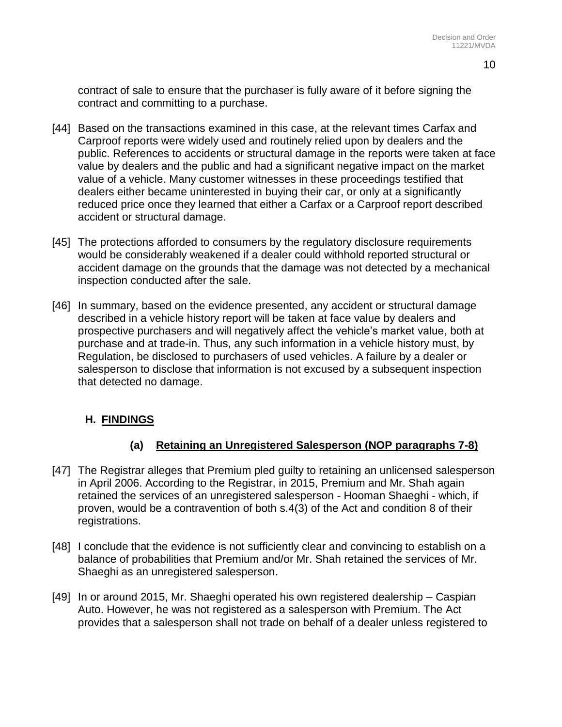contract of sale to ensure that the purchaser is fully aware of it before signing the contract and committing to a purchase.

- [44] Based on the transactions examined in this case, at the relevant times Carfax and Carproof reports were widely used and routinely relied upon by dealers and the public. References to accidents or structural damage in the reports were taken at face value by dealers and the public and had a significant negative impact on the market value of a vehicle. Many customer witnesses in these proceedings testified that dealers either became uninterested in buying their car, or only at a significantly reduced price once they learned that either a Carfax or a Carproof report described accident or structural damage.
- [45] The protections afforded to consumers by the regulatory disclosure requirements would be considerably weakened if a dealer could withhold reported structural or accident damage on the grounds that the damage was not detected by a mechanical inspection conducted after the sale.
- [46] In summary, based on the evidence presented, any accident or structural damage described in a vehicle history report will be taken at face value by dealers and prospective purchasers and will negatively affect the vehicle's market value, both at purchase and at trade-in. Thus, any such information in a vehicle history must, by Regulation, be disclosed to purchasers of used vehicles. A failure by a dealer or salesperson to disclose that information is not excused by a subsequent inspection that detected no damage.

### **H. FINDINGS**

### **(a) Retaining an Unregistered Salesperson (NOP paragraphs 7-8)**

- [47] The Registrar alleges that Premium pled guilty to retaining an unlicensed salesperson in April 2006. According to the Registrar, in 2015, Premium and Mr. Shah again retained the services of an unregistered salesperson - Hooman Shaeghi - which, if proven, would be a contravention of both s.4(3) of the Act and condition 8 of their registrations.
- [48] I conclude that the evidence is not sufficiently clear and convincing to establish on a balance of probabilities that Premium and/or Mr. Shah retained the services of Mr. Shaeghi as an unregistered salesperson.
- [49] In or around 2015, Mr. Shaeghi operated his own registered dealership Caspian Auto. However, he was not registered as a salesperson with Premium. The Act provides that a salesperson shall not trade on behalf of a dealer unless registered to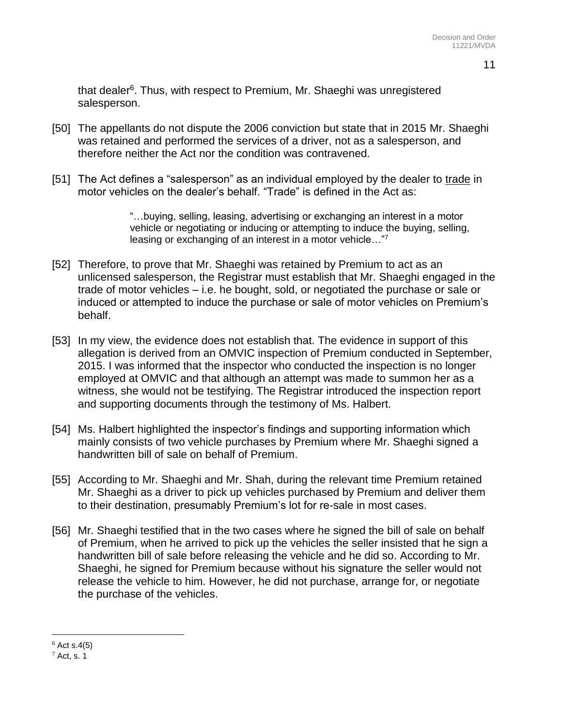that dealer<sup>6</sup>. Thus, with respect to Premium, Mr. Shaeghi was unregistered salesperson.

- [50] The appellants do not dispute the 2006 conviction but state that in 2015 Mr. Shaeghi was retained and performed the services of a driver, not as a salesperson, and therefore neither the Act nor the condition was contravened.
- [51] The Act defines a "salesperson" as an individual employed by the dealer to trade in motor vehicles on the dealer's behalf. "Trade" is defined in the Act as:

"…buying, selling, leasing, advertising or exchanging an interest in a motor vehicle or negotiating or inducing or attempting to induce the buying, selling, leasing or exchanging of an interest in a motor vehicle…"<sup>7</sup>

- [52] Therefore, to prove that Mr. Shaeghi was retained by Premium to act as an unlicensed salesperson, the Registrar must establish that Mr. Shaeghi engaged in the trade of motor vehicles – i.e. he bought, sold, or negotiated the purchase or sale or induced or attempted to induce the purchase or sale of motor vehicles on Premium's behalf.
- [53] In my view, the evidence does not establish that. The evidence in support of this allegation is derived from an OMVIC inspection of Premium conducted in September, 2015. I was informed that the inspector who conducted the inspection is no longer employed at OMVIC and that although an attempt was made to summon her as a witness, she would not be testifying. The Registrar introduced the inspection report and supporting documents through the testimony of Ms. Halbert.
- [54] Ms. Halbert highlighted the inspector's findings and supporting information which mainly consists of two vehicle purchases by Premium where Mr. Shaeghi signed a handwritten bill of sale on behalf of Premium.
- [55] According to Mr. Shaeghi and Mr. Shah, during the relevant time Premium retained Mr. Shaeghi as a driver to pick up vehicles purchased by Premium and deliver them to their destination, presumably Premium's lot for re-sale in most cases.
- [56] Mr. Shaeghi testified that in the two cases where he signed the bill of sale on behalf of Premium, when he arrived to pick up the vehicles the seller insisted that he sign a handwritten bill of sale before releasing the vehicle and he did so. According to Mr. Shaeghi, he signed for Premium because without his signature the seller would not release the vehicle to him. However, he did not purchase, arrange for, or negotiate the purchase of the vehicles.

 $\overline{a}$ 

 $6$  Act s.4(5)

 $<sup>7</sup>$  Act, s. 1</sup>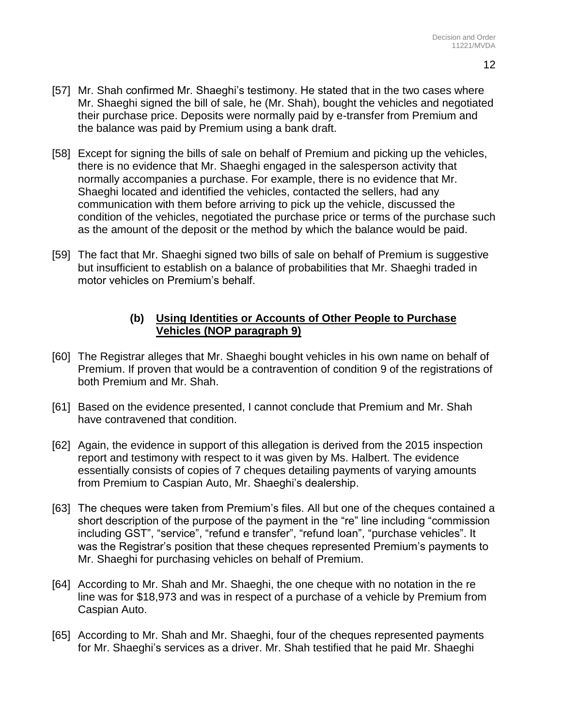- [57] Mr. Shah confirmed Mr. Shaeghi's testimony. He stated that in the two cases where Mr. Shaeghi signed the bill of sale, he (Mr. Shah), bought the vehicles and negotiated their purchase price. Deposits were normally paid by e-transfer from Premium and the balance was paid by Premium using a bank draft.
- [58] Except for signing the bills of sale on behalf of Premium and picking up the vehicles, there is no evidence that Mr. Shaeghi engaged in the salesperson activity that normally accompanies a purchase. For example, there is no evidence that Mr. Shaeghi located and identified the vehicles, contacted the sellers, had any communication with them before arriving to pick up the vehicle, discussed the condition of the vehicles, negotiated the purchase price or terms of the purchase such as the amount of the deposit or the method by which the balance would be paid.
- [59] The fact that Mr. Shaeghi signed two bills of sale on behalf of Premium is suggestive but insufficient to establish on a balance of probabilities that Mr. Shaeghi traded in motor vehicles on Premium's behalf.

### **(b) Using Identities or Accounts of Other People to Purchase Vehicles (NOP paragraph 9)**

- [60] The Registrar alleges that Mr. Shaeghi bought vehicles in his own name on behalf of Premium. If proven that would be a contravention of condition 9 of the registrations of both Premium and Mr. Shah.
- [61] Based on the evidence presented, I cannot conclude that Premium and Mr. Shah have contravened that condition.
- [62] Again, the evidence in support of this allegation is derived from the 2015 inspection report and testimony with respect to it was given by Ms. Halbert. The evidence essentially consists of copies of 7 cheques detailing payments of varying amounts from Premium to Caspian Auto, Mr. Shaeghi's dealership.
- [63] The cheques were taken from Premium's files. All but one of the cheques contained a short description of the purpose of the payment in the "re" line including "commission including GST", "service", "refund e transfer", "refund loan", "purchase vehicles". It was the Registrar's position that these cheques represented Premium's payments to Mr. Shaeghi for purchasing vehicles on behalf of Premium.
- [64] According to Mr. Shah and Mr. Shaeghi, the one cheque with no notation in the re line was for \$18,973 and was in respect of a purchase of a vehicle by Premium from Caspian Auto.
- [65] According to Mr. Shah and Mr. Shaeghi, four of the cheques represented payments for Mr. Shaeghi's services as a driver. Mr. Shah testified that he paid Mr. Shaeghi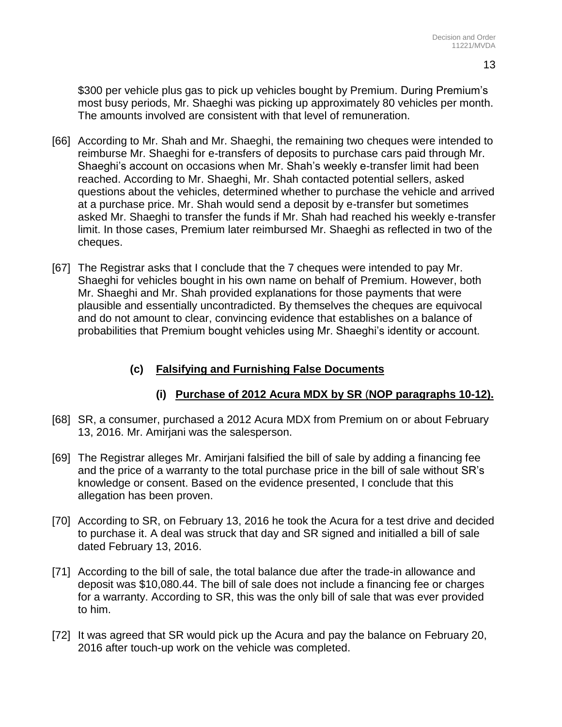\$300 per vehicle plus gas to pick up vehicles bought by Premium. During Premium's most busy periods, Mr. Shaeghi was picking up approximately 80 vehicles per month. The amounts involved are consistent with that level of remuneration.

- [66] According to Mr. Shah and Mr. Shaeghi, the remaining two cheques were intended to reimburse Mr. Shaeghi for e-transfers of deposits to purchase cars paid through Mr. Shaeghi's account on occasions when Mr. Shah's weekly e-transfer limit had been reached. According to Mr. Shaeghi, Mr. Shah contacted potential sellers, asked questions about the vehicles, determined whether to purchase the vehicle and arrived at a purchase price. Mr. Shah would send a deposit by e-transfer but sometimes asked Mr. Shaeghi to transfer the funds if Mr. Shah had reached his weekly e-transfer limit. In those cases, Premium later reimbursed Mr. Shaeghi as reflected in two of the cheques.
- [67] The Registrar asks that I conclude that the 7 cheques were intended to pay Mr. Shaeghi for vehicles bought in his own name on behalf of Premium. However, both Mr. Shaeghi and Mr. Shah provided explanations for those payments that were plausible and essentially uncontradicted. By themselves the cheques are equivocal and do not amount to clear, convincing evidence that establishes on a balance of probabilities that Premium bought vehicles using Mr. Shaeghi's identity or account.

# **(c) Falsifying and Furnishing False Documents**

# **(i) Purchase of 2012 Acura MDX by SR** (**NOP paragraphs 10-12).**

- [68] SR, a consumer, purchased a 2012 Acura MDX from Premium on or about February 13, 2016. Mr. Amirjani was the salesperson.
- [69] The Registrar alleges Mr. Amirjani falsified the bill of sale by adding a financing fee and the price of a warranty to the total purchase price in the bill of sale without SR's knowledge or consent. Based on the evidence presented, I conclude that this allegation has been proven.
- [70] According to SR, on February 13, 2016 he took the Acura for a test drive and decided to purchase it. A deal was struck that day and SR signed and initialled a bill of sale dated February 13, 2016.
- [71] According to the bill of sale, the total balance due after the trade-in allowance and deposit was \$10,080.44. The bill of sale does not include a financing fee or charges for a warranty. According to SR, this was the only bill of sale that was ever provided to him.
- [72] It was agreed that SR would pick up the Acura and pay the balance on February 20, 2016 after touch-up work on the vehicle was completed.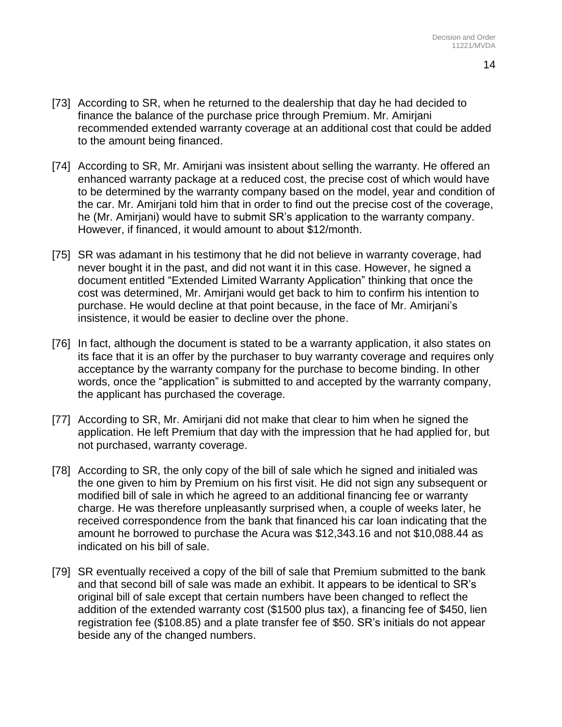- [73] According to SR, when he returned to the dealership that day he had decided to finance the balance of the purchase price through Premium. Mr. Amirjani recommended extended warranty coverage at an additional cost that could be added to the amount being financed.
- [74] According to SR, Mr. Amirjani was insistent about selling the warranty. He offered an enhanced warranty package at a reduced cost, the precise cost of which would have to be determined by the warranty company based on the model, year and condition of the car. Mr. Amirjani told him that in order to find out the precise cost of the coverage, he (Mr. Amirjani) would have to submit SR's application to the warranty company. However, if financed, it would amount to about \$12/month.
- [75] SR was adamant in his testimony that he did not believe in warranty coverage, had never bought it in the past, and did not want it in this case. However, he signed a document entitled "Extended Limited Warranty Application" thinking that once the cost was determined, Mr. Amirjani would get back to him to confirm his intention to purchase. He would decline at that point because, in the face of Mr. Amirjani's insistence, it would be easier to decline over the phone.
- [76] In fact, although the document is stated to be a warranty application, it also states on its face that it is an offer by the purchaser to buy warranty coverage and requires only acceptance by the warranty company for the purchase to become binding. In other words, once the "application" is submitted to and accepted by the warranty company, the applicant has purchased the coverage.
- [77] According to SR, Mr. Amirjani did not make that clear to him when he signed the application. He left Premium that day with the impression that he had applied for, but not purchased, warranty coverage.
- [78] According to SR, the only copy of the bill of sale which he signed and initialed was the one given to him by Premium on his first visit. He did not sign any subsequent or modified bill of sale in which he agreed to an additional financing fee or warranty charge. He was therefore unpleasantly surprised when, a couple of weeks later, he received correspondence from the bank that financed his car loan indicating that the amount he borrowed to purchase the Acura was \$12,343.16 and not \$10,088.44 as indicated on his bill of sale.
- [79] SR eventually received a copy of the bill of sale that Premium submitted to the bank and that second bill of sale was made an exhibit. It appears to be identical to SR's original bill of sale except that certain numbers have been changed to reflect the addition of the extended warranty cost (\$1500 plus tax), a financing fee of \$450, lien registration fee (\$108.85) and a plate transfer fee of \$50. SR's initials do not appear beside any of the changed numbers.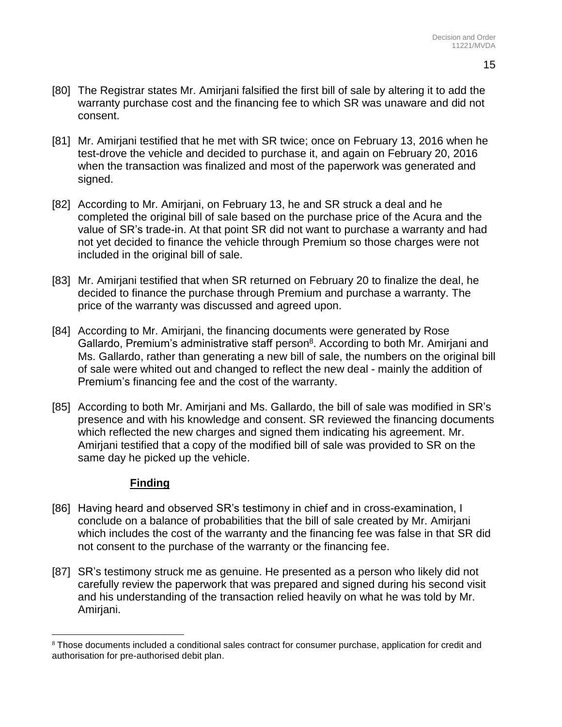- [80] The Registrar states Mr. Amirjani falsified the first bill of sale by altering it to add the warranty purchase cost and the financing fee to which SR was unaware and did not consent.
- [81] Mr. Amirjani testified that he met with SR twice; once on February 13, 2016 when he test-drove the vehicle and decided to purchase it, and again on February 20, 2016 when the transaction was finalized and most of the paperwork was generated and signed.
- [82] According to Mr. Amirjani, on February 13, he and SR struck a deal and he completed the original bill of sale based on the purchase price of the Acura and the value of SR's trade-in. At that point SR did not want to purchase a warranty and had not yet decided to finance the vehicle through Premium so those charges were not included in the original bill of sale.
- [83] Mr. Amirjani testified that when SR returned on February 20 to finalize the deal, he decided to finance the purchase through Premium and purchase a warranty. The price of the warranty was discussed and agreed upon.
- [84] According to Mr. Amirjani, the financing documents were generated by Rose Gallardo, Premium's administrative staff person<sup>8</sup>. According to both Mr. Amirjani and Ms. Gallardo, rather than generating a new bill of sale, the numbers on the original bill of sale were whited out and changed to reflect the new deal - mainly the addition of Premium's financing fee and the cost of the warranty.
- [85] According to both Mr. Amirjani and Ms. Gallardo, the bill of sale was modified in SR's presence and with his knowledge and consent. SR reviewed the financing documents which reflected the new charges and signed them indicating his agreement. Mr. Amirjani testified that a copy of the modified bill of sale was provided to SR on the same day he picked up the vehicle.

### **Finding**

 $\overline{a}$ 

- [86] Having heard and observed SR's testimony in chief and in cross-examination, I conclude on a balance of probabilities that the bill of sale created by Mr. Amirjani which includes the cost of the warranty and the financing fee was false in that SR did not consent to the purchase of the warranty or the financing fee.
- [87] SR's testimony struck me as genuine. He presented as a person who likely did not carefully review the paperwork that was prepared and signed during his second visit and his understanding of the transaction relied heavily on what he was told by Mr. Amirjani.

<sup>&</sup>lt;sup>8</sup> Those documents included a conditional sales contract for consumer purchase, application for credit and authorisation for pre-authorised debit plan.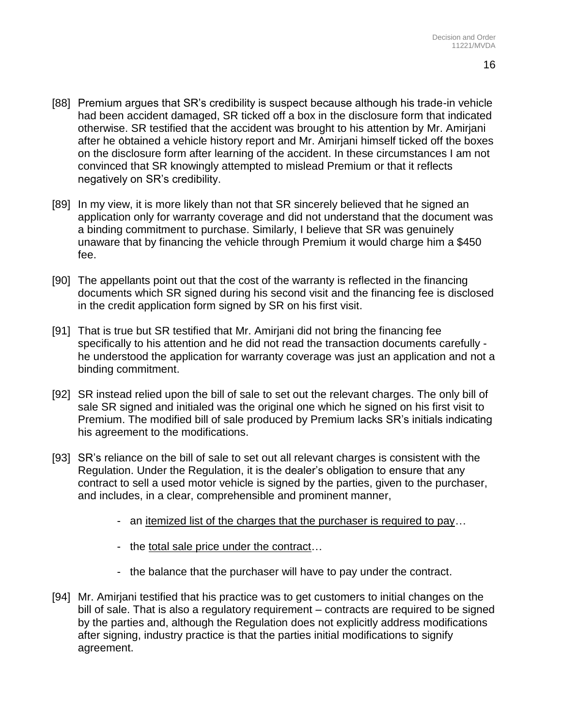- [88] Premium argues that SR's credibility is suspect because although his trade-in vehicle had been accident damaged, SR ticked off a box in the disclosure form that indicated otherwise. SR testified that the accident was brought to his attention by Mr. Amirjani after he obtained a vehicle history report and Mr. Amirjani himself ticked off the boxes on the disclosure form after learning of the accident. In these circumstances I am not convinced that SR knowingly attempted to mislead Premium or that it reflects negatively on SR's credibility.
- [89] In my view, it is more likely than not that SR sincerely believed that he signed an application only for warranty coverage and did not understand that the document was a binding commitment to purchase. Similarly, I believe that SR was genuinely unaware that by financing the vehicle through Premium it would charge him a \$450 fee.
- [90] The appellants point out that the cost of the warranty is reflected in the financing documents which SR signed during his second visit and the financing fee is disclosed in the credit application form signed by SR on his first visit.
- [91] That is true but SR testified that Mr. Amirjani did not bring the financing fee specifically to his attention and he did not read the transaction documents carefully he understood the application for warranty coverage was just an application and not a binding commitment.
- [92] SR instead relied upon the bill of sale to set out the relevant charges. The only bill of sale SR signed and initialed was the original one which he signed on his first visit to Premium. The modified bill of sale produced by Premium lacks SR's initials indicating his agreement to the modifications.
- [93] SR's reliance on the bill of sale to set out all relevant charges is consistent with the Regulation. Under the Regulation, it is the dealer's obligation to ensure that any contract to sell a used motor vehicle is signed by the parties, given to the purchaser, and includes, in a clear, comprehensible and prominent manner,
	- an itemized list of the charges that the purchaser is required to pay…
	- the total sale price under the contract…
	- the balance that the purchaser will have to pay under the contract.
- [94] Mr. Amirjani testified that his practice was to get customers to initial changes on the bill of sale. That is also a regulatory requirement – contracts are required to be signed by the parties and, although the Regulation does not explicitly address modifications after signing, industry practice is that the parties initial modifications to signify agreement.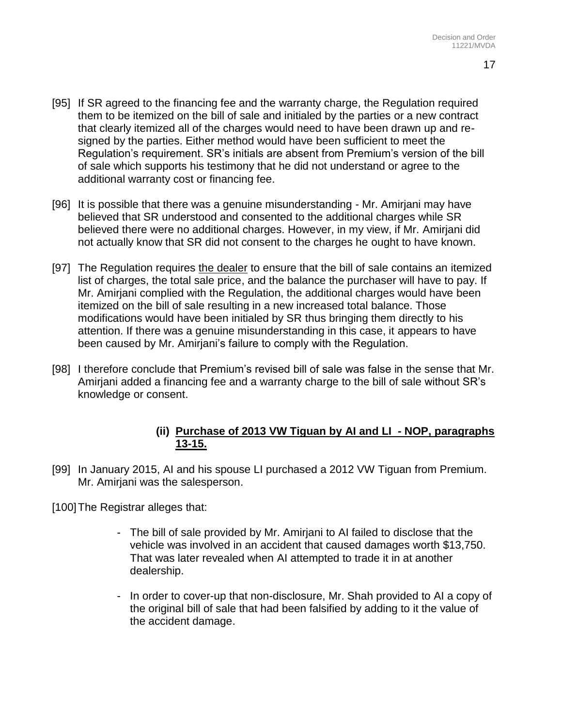- [95] If SR agreed to the financing fee and the warranty charge, the Regulation required them to be itemized on the bill of sale and initialed by the parties or a new contract that clearly itemized all of the charges would need to have been drawn up and resigned by the parties. Either method would have been sufficient to meet the Regulation's requirement. SR's initials are absent from Premium's version of the bill of sale which supports his testimony that he did not understand or agree to the additional warranty cost or financing fee.
- [96] It is possible that there was a genuine misunderstanding Mr. Amirjani may have believed that SR understood and consented to the additional charges while SR believed there were no additional charges. However, in my view, if Mr. Amirjani did not actually know that SR did not consent to the charges he ought to have known.
- [97] The Regulation requires the dealer to ensure that the bill of sale contains an itemized list of charges, the total sale price, and the balance the purchaser will have to pay. If Mr. Amirjani complied with the Regulation, the additional charges would have been itemized on the bill of sale resulting in a new increased total balance. Those modifications would have been initialed by SR thus bringing them directly to his attention. If there was a genuine misunderstanding in this case, it appears to have been caused by Mr. Amirjani's failure to comply with the Regulation.
- [98] I therefore conclude that Premium's revised bill of sale was false in the sense that Mr. Amirjani added a financing fee and a warranty charge to the bill of sale without SR's knowledge or consent.

### **(ii) Purchase of 2013 VW Tiguan by AI and LI - NOP, paragraphs 13-15.**

[99] In January 2015, AI and his spouse LI purchased a 2012 VW Tiguan from Premium. Mr. Amirjani was the salesperson.

[100] The Registrar alleges that:

- The bill of sale provided by Mr. Amirjani to AI failed to disclose that the vehicle was involved in an accident that caused damages worth \$13,750. That was later revealed when AI attempted to trade it in at another dealership.
- In order to cover-up that non-disclosure, Mr. Shah provided to AI a copy of the original bill of sale that had been falsified by adding to it the value of the accident damage.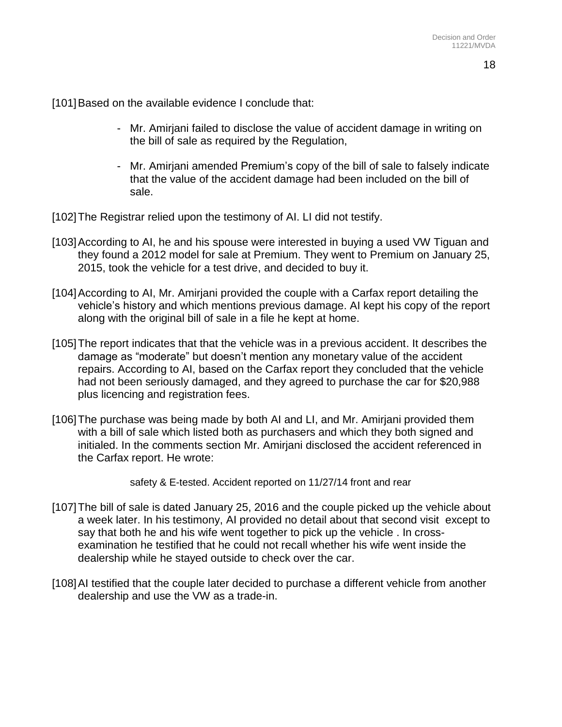[101]Based on the available evidence I conclude that:

- Mr. Amirjani failed to disclose the value of accident damage in writing on the bill of sale as required by the Regulation,
- Mr. Amirjani amended Premium's copy of the bill of sale to falsely indicate that the value of the accident damage had been included on the bill of sale.
- [102]The Registrar relied upon the testimony of AI. LI did not testify.
- [103] According to AI, he and his spouse were interested in buying a used VW Tiguan and they found a 2012 model for sale at Premium. They went to Premium on January 25, 2015, took the vehicle for a test drive, and decided to buy it.
- [104]According to AI, Mr. Amirjani provided the couple with a Carfax report detailing the vehicle's history and which mentions previous damage. AI kept his copy of the report along with the original bill of sale in a file he kept at home.
- [105]The report indicates that that the vehicle was in a previous accident. It describes the damage as "moderate" but doesn't mention any monetary value of the accident repairs. According to AI, based on the Carfax report they concluded that the vehicle had not been seriously damaged, and they agreed to purchase the car for \$20,988 plus licencing and registration fees.
- [106]The purchase was being made by both AI and LI, and Mr. Amirjani provided them with a bill of sale which listed both as purchasers and which they both signed and initialed. In the comments section Mr. Amirjani disclosed the accident referenced in the Carfax report. He wrote:

safety & E-tested. Accident reported on 11/27/14 front and rear

- [107] The bill of sale is dated January 25, 2016 and the couple picked up the vehicle about a week later. In his testimony, AI provided no detail about that second visit except to say that both he and his wife went together to pick up the vehicle . In crossexamination he testified that he could not recall whether his wife went inside the dealership while he stayed outside to check over the car.
- [108]AI testified that the couple later decided to purchase a different vehicle from another dealership and use the VW as a trade-in.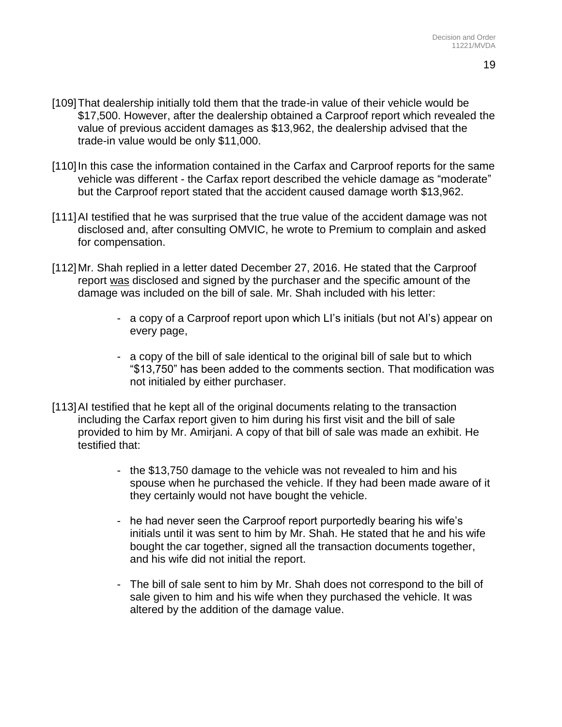- [109]That dealership initially told them that the trade-in value of their vehicle would be \$17,500. However, after the dealership obtained a Carproof report which revealed the value of previous accident damages as \$13,962, the dealership advised that the trade-in value would be only \$11,000.
- [110] In this case the information contained in the Carfax and Carproof reports for the same vehicle was different - the Carfax report described the vehicle damage as "moderate" but the Carproof report stated that the accident caused damage worth \$13,962.
- [111]AI testified that he was surprised that the true value of the accident damage was not disclosed and, after consulting OMVIC, he wrote to Premium to complain and asked for compensation.
- [112] Mr. Shah replied in a letter dated December 27, 2016. He stated that the Carproof report was disclosed and signed by the purchaser and the specific amount of the damage was included on the bill of sale. Mr. Shah included with his letter:
	- a copy of a Carproof report upon which LI's initials (but not AI's) appear on every page,
	- a copy of the bill of sale identical to the original bill of sale but to which "\$13,750" has been added to the comments section. That modification was not initialed by either purchaser.
- [113]AI testified that he kept all of the original documents relating to the transaction including the Carfax report given to him during his first visit and the bill of sale provided to him by Mr. Amirjani. A copy of that bill of sale was made an exhibit. He testified that:
	- the \$13,750 damage to the vehicle was not revealed to him and his spouse when he purchased the vehicle. If they had been made aware of it they certainly would not have bought the vehicle.
	- he had never seen the Carproof report purportedly bearing his wife's initials until it was sent to him by Mr. Shah. He stated that he and his wife bought the car together, signed all the transaction documents together, and his wife did not initial the report.
	- The bill of sale sent to him by Mr. Shah does not correspond to the bill of sale given to him and his wife when they purchased the vehicle. It was altered by the addition of the damage value.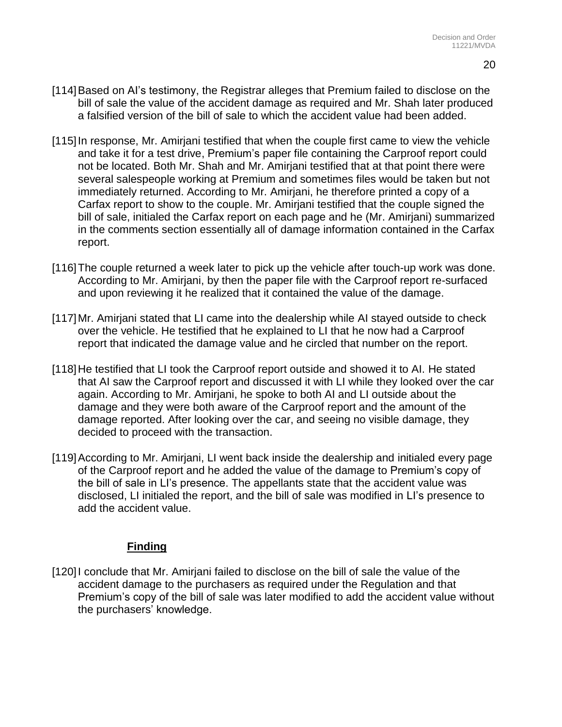- [114]Based on AI's testimony, the Registrar alleges that Premium failed to disclose on the bill of sale the value of the accident damage as required and Mr. Shah later produced a falsified version of the bill of sale to which the accident value had been added.
- [115] In response, Mr. Amirjani testified that when the couple first came to view the vehicle and take it for a test drive, Premium's paper file containing the Carproof report could not be located. Both Mr. Shah and Mr. Amirjani testified that at that point there were several salespeople working at Premium and sometimes files would be taken but not immediately returned. According to Mr. Amirjani, he therefore printed a copy of a Carfax report to show to the couple. Mr. Amirjani testified that the couple signed the bill of sale, initialed the Carfax report on each page and he (Mr. Amirjani) summarized in the comments section essentially all of damage information contained in the Carfax report.
- [116] The couple returned a week later to pick up the vehicle after touch-up work was done. According to Mr. Amirjani, by then the paper file with the Carproof report re-surfaced and upon reviewing it he realized that it contained the value of the damage.
- [117] Mr. Amirjani stated that LI came into the dealership while AI stayed outside to check over the vehicle. He testified that he explained to LI that he now had a Carproof report that indicated the damage value and he circled that number on the report.
- [118] He testified that LI took the Carproof report outside and showed it to AI. He stated that AI saw the Carproof report and discussed it with LI while they looked over the car again. According to Mr. Amirjani, he spoke to both AI and LI outside about the damage and they were both aware of the Carproof report and the amount of the damage reported. After looking over the car, and seeing no visible damage, they decided to proceed with the transaction.
- [119] According to Mr. Amirjani, LI went back inside the dealership and initialed every page of the Carproof report and he added the value of the damage to Premium's copy of the bill of sale in LI's presence. The appellants state that the accident value was disclosed, LI initialed the report, and the bill of sale was modified in LI's presence to add the accident value.

### **Finding**

[120]I conclude that Mr. Amirjani failed to disclose on the bill of sale the value of the accident damage to the purchasers as required under the Regulation and that Premium's copy of the bill of sale was later modified to add the accident value without the purchasers' knowledge.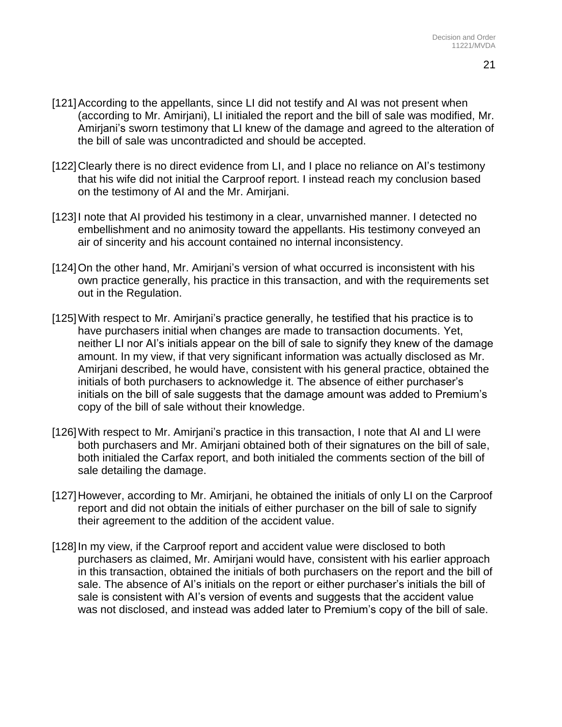- [121] According to the appellants, since LI did not testify and AI was not present when (according to Mr. Amirjani), LI initialed the report and the bill of sale was modified, Mr. Amirjani's sworn testimony that LI knew of the damage and agreed to the alteration of the bill of sale was uncontradicted and should be accepted.
- [122] Clearly there is no direct evidence from LI, and I place no reliance on AI's testimony that his wife did not initial the Carproof report. I instead reach my conclusion based on the testimony of AI and the Mr. Amirjani.
- [123] I note that AI provided his testimony in a clear, unvarnished manner. I detected no embellishment and no animosity toward the appellants. His testimony conveyed an air of sincerity and his account contained no internal inconsistency.
- [124]On the other hand, Mr. Amirjani's version of what occurred is inconsistent with his own practice generally, his practice in this transaction, and with the requirements set out in the Regulation.
- [125] With respect to Mr. Amiriani's practice generally, he testified that his practice is to have purchasers initial when changes are made to transaction documents. Yet, neither LI nor AI's initials appear on the bill of sale to signify they knew of the damage amount. In my view, if that very significant information was actually disclosed as Mr. Amirjani described, he would have, consistent with his general practice, obtained the initials of both purchasers to acknowledge it. The absence of either purchaser's initials on the bill of sale suggests that the damage amount was added to Premium's copy of the bill of sale without their knowledge.
- [126]With respect to Mr. Amirjani's practice in this transaction, I note that AI and LI were both purchasers and Mr. Amirjani obtained both of their signatures on the bill of sale, both initialed the Carfax report, and both initialed the comments section of the bill of sale detailing the damage.
- [127] However, according to Mr. Amirjani, he obtained the initials of only LI on the Carproof report and did not obtain the initials of either purchaser on the bill of sale to signify their agreement to the addition of the accident value.
- [128]In my view, if the Carproof report and accident value were disclosed to both purchasers as claimed, Mr. Amirjani would have, consistent with his earlier approach in this transaction, obtained the initials of both purchasers on the report and the bill of sale. The absence of AI's initials on the report or either purchaser's initials the bill of sale is consistent with AI's version of events and suggests that the accident value was not disclosed, and instead was added later to Premium's copy of the bill of sale.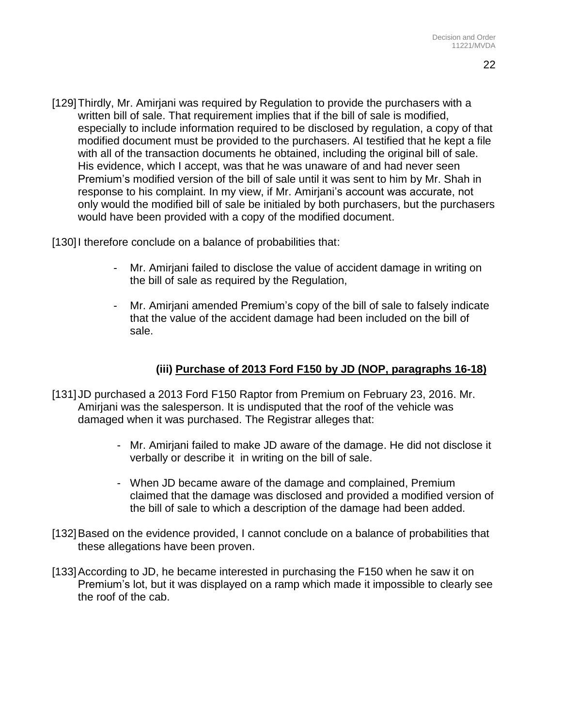[129] Thirdly, Mr. Amirjani was required by Regulation to provide the purchasers with a written bill of sale. That requirement implies that if the bill of sale is modified, especially to include information required to be disclosed by regulation, a copy of that modified document must be provided to the purchasers. AI testified that he kept a file with all of the transaction documents he obtained, including the original bill of sale. His evidence, which I accept, was that he was unaware of and had never seen Premium's modified version of the bill of sale until it was sent to him by Mr. Shah in response to his complaint. In my view, if Mr. Amirjani's account was accurate, not only would the modified bill of sale be initialed by both purchasers, but the purchasers would have been provided with a copy of the modified document.

[130] therefore conclude on a balance of probabilities that:

- Mr. Amirjani failed to disclose the value of accident damage in writing on the bill of sale as required by the Regulation,
- Mr. Amirjani amended Premium's copy of the bill of sale to falsely indicate that the value of the accident damage had been included on the bill of sale.

# **(iii) Purchase of 2013 Ford F150 by JD (NOP, paragraphs 16-18)**

- [131] JD purchased a 2013 Ford F150 Raptor from Premium on February 23, 2016. Mr. Amirjani was the salesperson. It is undisputed that the roof of the vehicle was damaged when it was purchased. The Registrar alleges that:
	- Mr. Amirjani failed to make JD aware of the damage. He did not disclose it verbally or describe it in writing on the bill of sale.
	- When JD became aware of the damage and complained, Premium claimed that the damage was disclosed and provided a modified version of the bill of sale to which a description of the damage had been added.
- [132]Based on the evidence provided, I cannot conclude on a balance of probabilities that these allegations have been proven.
- [133]According to JD, he became interested in purchasing the F150 when he saw it on Premium's lot, but it was displayed on a ramp which made it impossible to clearly see the roof of the cab.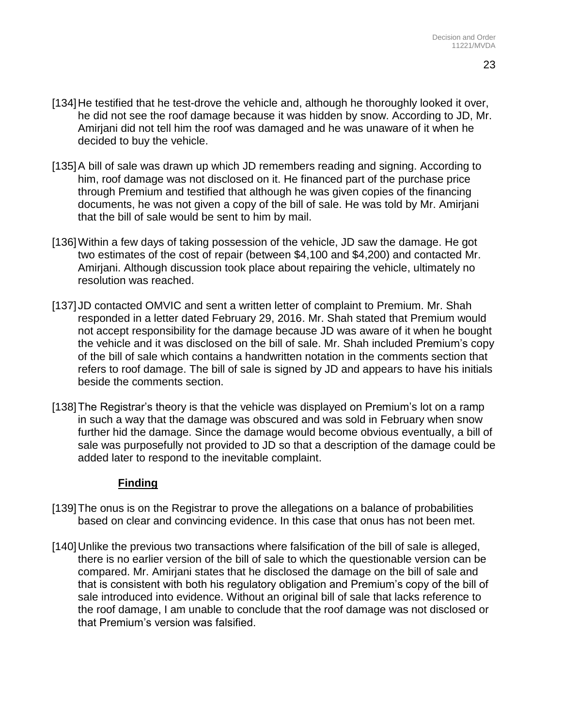- [134] He testified that he test-drove the vehicle and, although he thoroughly looked it over, he did not see the roof damage because it was hidden by snow. According to JD, Mr. Amirjani did not tell him the roof was damaged and he was unaware of it when he decided to buy the vehicle.
- [135] A bill of sale was drawn up which JD remembers reading and signing. According to him, roof damage was not disclosed on it. He financed part of the purchase price through Premium and testified that although he was given copies of the financing documents, he was not given a copy of the bill of sale. He was told by Mr. Amirjani that the bill of sale would be sent to him by mail.
- [136] Within a few days of taking possession of the vehicle, JD saw the damage. He got two estimates of the cost of repair (between \$4,100 and \$4,200) and contacted Mr. Amirjani. Although discussion took place about repairing the vehicle, ultimately no resolution was reached.
- [137] JD contacted OMVIC and sent a written letter of complaint to Premium. Mr. Shah responded in a letter dated February 29, 2016. Mr. Shah stated that Premium would not accept responsibility for the damage because JD was aware of it when he bought the vehicle and it was disclosed on the bill of sale. Mr. Shah included Premium's copy of the bill of sale which contains a handwritten notation in the comments section that refers to roof damage. The bill of sale is signed by JD and appears to have his initials beside the comments section.
- [138]The Registrar's theory is that the vehicle was displayed on Premium's lot on a ramp in such a way that the damage was obscured and was sold in February when snow further hid the damage. Since the damage would become obvious eventually, a bill of sale was purposefully not provided to JD so that a description of the damage could be added later to respond to the inevitable complaint.

#### **Finding**

- [139]The onus is on the Registrar to prove the allegations on a balance of probabilities based on clear and convincing evidence. In this case that onus has not been met.
- [140]Unlike the previous two transactions where falsification of the bill of sale is alleged, there is no earlier version of the bill of sale to which the questionable version can be compared. Mr. Amirjani states that he disclosed the damage on the bill of sale and that is consistent with both his regulatory obligation and Premium's copy of the bill of sale introduced into evidence. Without an original bill of sale that lacks reference to the roof damage, I am unable to conclude that the roof damage was not disclosed or that Premium's version was falsified.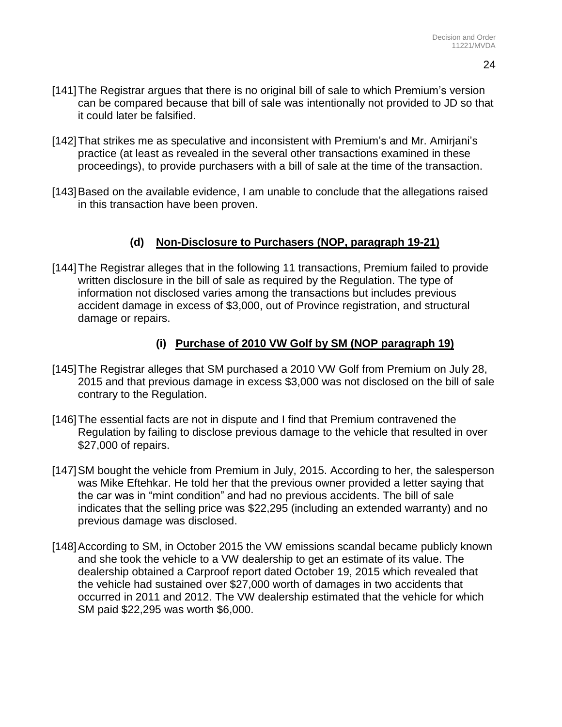- [141]The Registrar argues that there is no original bill of sale to which Premium's version can be compared because that bill of sale was intentionally not provided to JD so that it could later be falsified.
- [142] That strikes me as speculative and inconsistent with Premium's and Mr. Amirjani's practice (at least as revealed in the several other transactions examined in these proceedings), to provide purchasers with a bill of sale at the time of the transaction.
- [143] Based on the available evidence, I am unable to conclude that the allegations raised in this transaction have been proven.

# **(d) Non-Disclosure to Purchasers (NOP, paragraph 19-21)**

[144] The Registrar alleges that in the following 11 transactions, Premium failed to provide written disclosure in the bill of sale as required by the Regulation. The type of information not disclosed varies among the transactions but includes previous accident damage in excess of \$3,000, out of Province registration, and structural damage or repairs.

# **(i) Purchase of 2010 VW Golf by SM (NOP paragraph 19)**

- [145] The Registrar alleges that SM purchased a 2010 VW Golf from Premium on July 28, 2015 and that previous damage in excess \$3,000 was not disclosed on the bill of sale contrary to the Regulation.
- [146]The essential facts are not in dispute and I find that Premium contravened the Regulation by failing to disclose previous damage to the vehicle that resulted in over \$27,000 of repairs.
- [147] SM bought the vehicle from Premium in July, 2015. According to her, the salesperson was Mike Eftehkar. He told her that the previous owner provided a letter saying that the car was in "mint condition" and had no previous accidents. The bill of sale indicates that the selling price was \$22,295 (including an extended warranty) and no previous damage was disclosed.
- [148] According to SM, in October 2015 the VW emissions scandal became publicly known and she took the vehicle to a VW dealership to get an estimate of its value. The dealership obtained a Carproof report dated October 19, 2015 which revealed that the vehicle had sustained over \$27,000 worth of damages in two accidents that occurred in 2011 and 2012. The VW dealership estimated that the vehicle for which SM paid \$22,295 was worth \$6,000.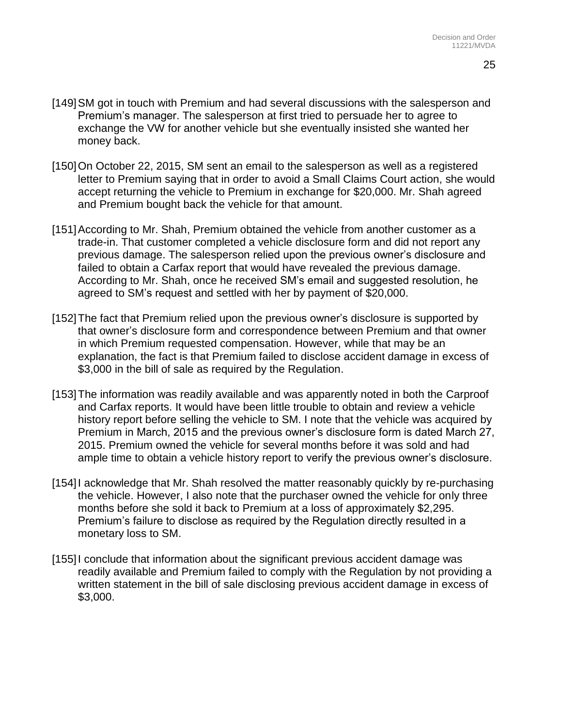- [149]SM got in touch with Premium and had several discussions with the salesperson and Premium's manager. The salesperson at first tried to persuade her to agree to exchange the VW for another vehicle but she eventually insisted she wanted her money back.
- [150] On October 22, 2015, SM sent an email to the salesperson as well as a registered letter to Premium saying that in order to avoid a Small Claims Court action, she would accept returning the vehicle to Premium in exchange for \$20,000. Mr. Shah agreed and Premium bought back the vehicle for that amount.
- [151]According to Mr. Shah, Premium obtained the vehicle from another customer as a trade-in. That customer completed a vehicle disclosure form and did not report any previous damage. The salesperson relied upon the previous owner's disclosure and failed to obtain a Carfax report that would have revealed the previous damage. According to Mr. Shah, once he received SM's email and suggested resolution, he agreed to SM's request and settled with her by payment of \$20,000.
- [152] The fact that Premium relied upon the previous owner's disclosure is supported by that owner's disclosure form and correspondence between Premium and that owner in which Premium requested compensation. However, while that may be an explanation, the fact is that Premium failed to disclose accident damage in excess of \$3,000 in the bill of sale as required by the Regulation.
- [153]The information was readily available and was apparently noted in both the Carproof and Carfax reports. It would have been little trouble to obtain and review a vehicle history report before selling the vehicle to SM. I note that the vehicle was acquired by Premium in March, 2015 and the previous owner's disclosure form is dated March 27, 2015. Premium owned the vehicle for several months before it was sold and had ample time to obtain a vehicle history report to verify the previous owner's disclosure.
- [154] acknowledge that Mr. Shah resolved the matter reasonably quickly by re-purchasing the vehicle. However, I also note that the purchaser owned the vehicle for only three months before she sold it back to Premium at a loss of approximately \$2,295. Premium's failure to disclose as required by the Regulation directly resulted in a monetary loss to SM.
- [155]I conclude that information about the significant previous accident damage was readily available and Premium failed to comply with the Regulation by not providing a written statement in the bill of sale disclosing previous accident damage in excess of \$3,000.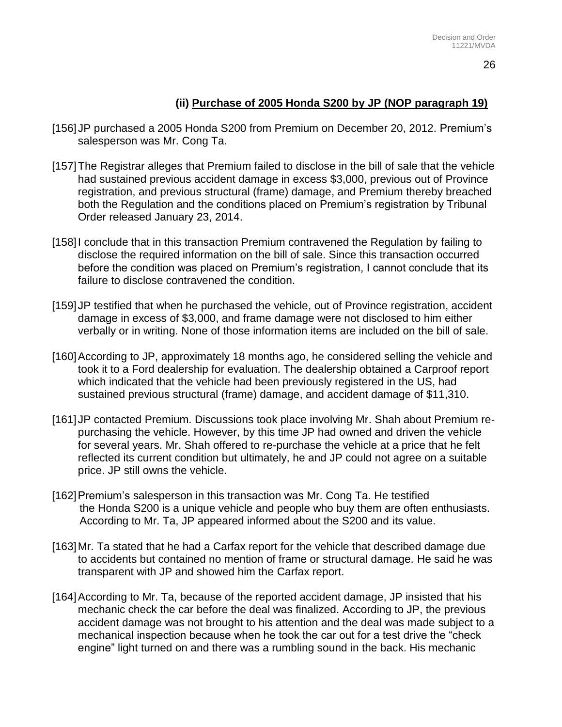26

## **(ii) Purchase of 2005 Honda S200 by JP (NOP paragraph 19)**

- [156] JP purchased a 2005 Honda S200 from Premium on December 20, 2012. Premium's salesperson was Mr. Cong Ta.
- [157] The Registrar alleges that Premium failed to disclose in the bill of sale that the vehicle had sustained previous accident damage in excess \$3,000, previous out of Province registration, and previous structural (frame) damage, and Premium thereby breached both the Regulation and the conditions placed on Premium's registration by Tribunal Order released January 23, 2014.
- [158]I conclude that in this transaction Premium contravened the Regulation by failing to disclose the required information on the bill of sale. Since this transaction occurred before the condition was placed on Premium's registration, I cannot conclude that its failure to disclose contravened the condition.
- [159] JP testified that when he purchased the vehicle, out of Province registration, accident damage in excess of \$3,000, and frame damage were not disclosed to him either verbally or in writing. None of those information items are included on the bill of sale.
- [160]According to JP, approximately 18 months ago, he considered selling the vehicle and took it to a Ford dealership for evaluation. The dealership obtained a Carproof report which indicated that the vehicle had been previously registered in the US, had sustained previous structural (frame) damage, and accident damage of \$11,310.
- [161] JP contacted Premium. Discussions took place involving Mr. Shah about Premium repurchasing the vehicle. However, by this time JP had owned and driven the vehicle for several years. Mr. Shah offered to re-purchase the vehicle at a price that he felt reflected its current condition but ultimately, he and JP could not agree on a suitable price. JP still owns the vehicle.
- [162] Premium's salesperson in this transaction was Mr. Cong Ta. He testified the Honda S200 is a unique vehicle and people who buy them are often enthusiasts. According to Mr. Ta, JP appeared informed about the S200 and its value.
- [163]Mr. Ta stated that he had a Carfax report for the vehicle that described damage due to accidents but contained no mention of frame or structural damage. He said he was transparent with JP and showed him the Carfax report.
- [164]According to Mr. Ta, because of the reported accident damage, JP insisted that his mechanic check the car before the deal was finalized. According to JP, the previous accident damage was not brought to his attention and the deal was made subject to a mechanical inspection because when he took the car out for a test drive the "check engine" light turned on and there was a rumbling sound in the back. His mechanic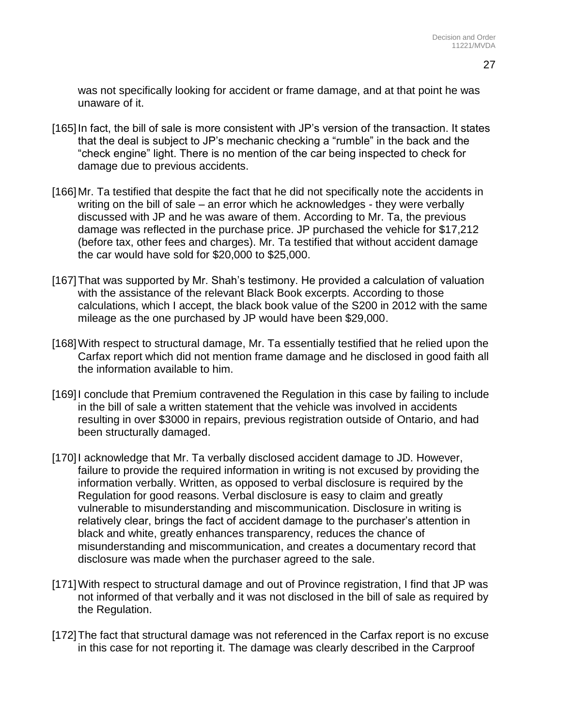27

was not specifically looking for accident or frame damage, and at that point he was unaware of it.

- [165] In fact, the bill of sale is more consistent with JP's version of the transaction. It states that the deal is subject to JP's mechanic checking a "rumble" in the back and the "check engine" light. There is no mention of the car being inspected to check for damage due to previous accidents.
- [166] Mr. Ta testified that despite the fact that he did not specifically note the accidents in writing on the bill of sale – an error which he acknowledges - they were verbally discussed with JP and he was aware of them. According to Mr. Ta, the previous damage was reflected in the purchase price. JP purchased the vehicle for \$17,212 (before tax, other fees and charges). Mr. Ta testified that without accident damage the car would have sold for \$20,000 to \$25,000.
- [167]That was supported by Mr. Shah's testimony. He provided a calculation of valuation with the assistance of the relevant Black Book excerpts. According to those calculations, which I accept, the black book value of the S200 in 2012 with the same mileage as the one purchased by JP would have been \$29,000.
- [168]With respect to structural damage, Mr. Ta essentially testified that he relied upon the Carfax report which did not mention frame damage and he disclosed in good faith all the information available to him.
- [169]I conclude that Premium contravened the Regulation in this case by failing to include in the bill of sale a written statement that the vehicle was involved in accidents resulting in over \$3000 in repairs, previous registration outside of Ontario, and had been structurally damaged.
- [170]I acknowledge that Mr. Ta verbally disclosed accident damage to JD. However, failure to provide the required information in writing is not excused by providing the information verbally. Written, as opposed to verbal disclosure is required by the Regulation for good reasons. Verbal disclosure is easy to claim and greatly vulnerable to misunderstanding and miscommunication. Disclosure in writing is relatively clear, brings the fact of accident damage to the purchaser's attention in black and white, greatly enhances transparency, reduces the chance of misunderstanding and miscommunication, and creates a documentary record that disclosure was made when the purchaser agreed to the sale.
- [171]With respect to structural damage and out of Province registration, I find that JP was not informed of that verbally and it was not disclosed in the bill of sale as required by the Regulation.
- [172]The fact that structural damage was not referenced in the Carfax report is no excuse in this case for not reporting it. The damage was clearly described in the Carproof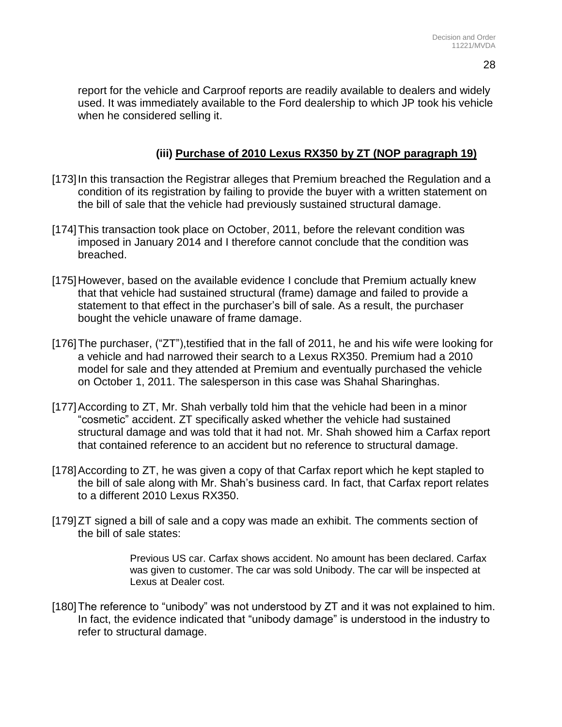report for the vehicle and Carproof reports are readily available to dealers and widely used. It was immediately available to the Ford dealership to which JP took his vehicle when he considered selling it.

### **(iii) Purchase of 2010 Lexus RX350 by ZT (NOP paragraph 19)**

- [173]In this transaction the Registrar alleges that Premium breached the Regulation and a condition of its registration by failing to provide the buyer with a written statement on the bill of sale that the vehicle had previously sustained structural damage.
- [174]This transaction took place on October, 2011, before the relevant condition was imposed in January 2014 and I therefore cannot conclude that the condition was breached.
- [175]However, based on the available evidence I conclude that Premium actually knew that that vehicle had sustained structural (frame) damage and failed to provide a statement to that effect in the purchaser's bill of sale. As a result, the purchaser bought the vehicle unaware of frame damage.
- [176] The purchaser, ("ZT"), testified that in the fall of 2011, he and his wife were looking for a vehicle and had narrowed their search to a Lexus RX350. Premium had a 2010 model for sale and they attended at Premium and eventually purchased the vehicle on October 1, 2011. The salesperson in this case was Shahal Sharinghas.
- [177]According to ZT, Mr. Shah verbally told him that the vehicle had been in a minor "cosmetic" accident. ZT specifically asked whether the vehicle had sustained structural damage and was told that it had not. Mr. Shah showed him a Carfax report that contained reference to an accident but no reference to structural damage.
- [178]According to ZT, he was given a copy of that Carfax report which he kept stapled to the bill of sale along with Mr. Shah's business card. In fact, that Carfax report relates to a different 2010 Lexus RX350.
- [179]ZT signed a bill of sale and a copy was made an exhibit. The comments section of the bill of sale states:

Previous US car. Carfax shows accident. No amount has been declared. Carfax was given to customer. The car was sold Unibody. The car will be inspected at Lexus at Dealer cost.

[180] The reference to "unibody" was not understood by ZT and it was not explained to him. In fact, the evidence indicated that "unibody damage" is understood in the industry to refer to structural damage.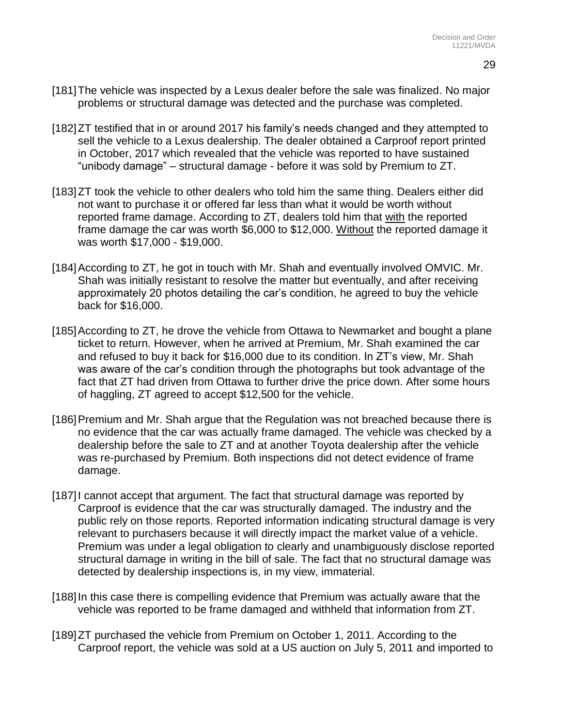- [181]The vehicle was inspected by a Lexus dealer before the sale was finalized. No major problems or structural damage was detected and the purchase was completed.
- [182]ZT testified that in or around 2017 his family's needs changed and they attempted to sell the vehicle to a Lexus dealership. The dealer obtained a Carproof report printed in October, 2017 which revealed that the vehicle was reported to have sustained "unibody damage" – structural damage - before it was sold by Premium to ZT.
- [183]ZT took the vehicle to other dealers who told him the same thing. Dealers either did not want to purchase it or offered far less than what it would be worth without reported frame damage. According to ZT, dealers told him that with the reported frame damage the car was worth \$6,000 to \$12,000. Without the reported damage it was worth \$17,000 - \$19,000.
- [184] According to ZT, he got in touch with Mr. Shah and eventually involved OMVIC. Mr. Shah was initially resistant to resolve the matter but eventually, and after receiving approximately 20 photos detailing the car's condition, he agreed to buy the vehicle back for \$16,000.
- [185] According to ZT, he drove the vehicle from Ottawa to Newmarket and bought a plane ticket to return. However, when he arrived at Premium, Mr. Shah examined the car and refused to buy it back for \$16,000 due to its condition. In ZT's view, Mr. Shah was aware of the car's condition through the photographs but took advantage of the fact that ZT had driven from Ottawa to further drive the price down. After some hours of haggling, ZT agreed to accept \$12,500 for the vehicle.
- [186] Premium and Mr. Shah argue that the Regulation was not breached because there is no evidence that the car was actually frame damaged. The vehicle was checked by a dealership before the sale to ZT and at another Toyota dealership after the vehicle was re-purchased by Premium. Both inspections did not detect evidence of frame damage.
- [187] cannot accept that argument. The fact that structural damage was reported by Carproof is evidence that the car was structurally damaged. The industry and the public rely on those reports. Reported information indicating structural damage is very relevant to purchasers because it will directly impact the market value of a vehicle. Premium was under a legal obligation to clearly and unambiguously disclose reported structural damage in writing in the bill of sale. The fact that no structural damage was detected by dealership inspections is, in my view, immaterial.
- [188] In this case there is compelling evidence that Premium was actually aware that the vehicle was reported to be frame damaged and withheld that information from ZT.
- [189]ZT purchased the vehicle from Premium on October 1, 2011. According to the Carproof report, the vehicle was sold at a US auction on July 5, 2011 and imported to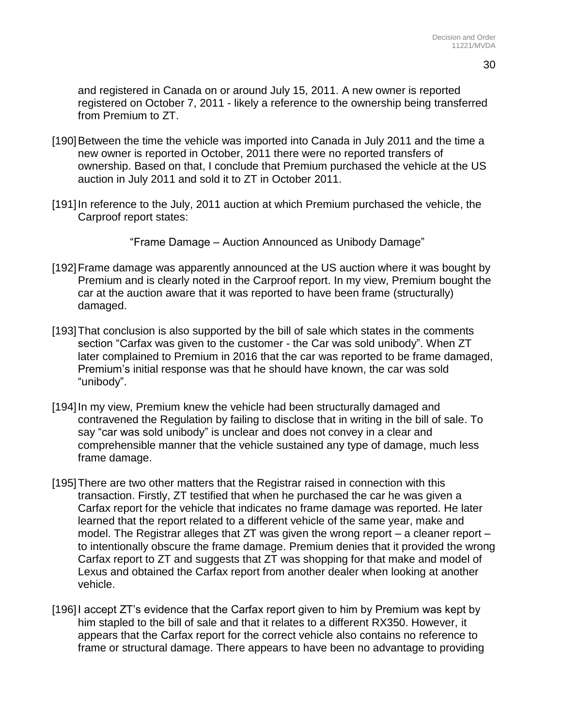and registered in Canada on or around July 15, 2011. A new owner is reported registered on October 7, 2011 - likely a reference to the ownership being transferred from Premium to ZT.

- [190] Between the time the vehicle was imported into Canada in July 2011 and the time a new owner is reported in October, 2011 there were no reported transfers of ownership. Based on that, I conclude that Premium purchased the vehicle at the US auction in July 2011 and sold it to ZT in October 2011.
- [191]In reference to the July, 2011 auction at which Premium purchased the vehicle, the Carproof report states:

"Frame Damage – Auction Announced as Unibody Damage"

- [192] Frame damage was apparently announced at the US auction where it was bought by Premium and is clearly noted in the Carproof report. In my view, Premium bought the car at the auction aware that it was reported to have been frame (structurally) damaged.
- [193]That conclusion is also supported by the bill of sale which states in the comments section "Carfax was given to the customer - the Car was sold unibody". When ZT later complained to Premium in 2016 that the car was reported to be frame damaged, Premium's initial response was that he should have known, the car was sold "unibody".
- [194] In my view, Premium knew the vehicle had been structurally damaged and contravened the Regulation by failing to disclose that in writing in the bill of sale. To say "car was sold unibody" is unclear and does not convey in a clear and comprehensible manner that the vehicle sustained any type of damage, much less frame damage.
- [195]There are two other matters that the Registrar raised in connection with this transaction. Firstly, ZT testified that when he purchased the car he was given a Carfax report for the vehicle that indicates no frame damage was reported. He later learned that the report related to a different vehicle of the same year, make and model. The Registrar alleges that ZT was given the wrong report – a cleaner report – to intentionally obscure the frame damage. Premium denies that it provided the wrong Carfax report to ZT and suggests that ZT was shopping for that make and model of Lexus and obtained the Carfax report from another dealer when looking at another vehicle.
- [196] accept ZT's evidence that the Carfax report given to him by Premium was kept by him stapled to the bill of sale and that it relates to a different RX350. However, it appears that the Carfax report for the correct vehicle also contains no reference to frame or structural damage. There appears to have been no advantage to providing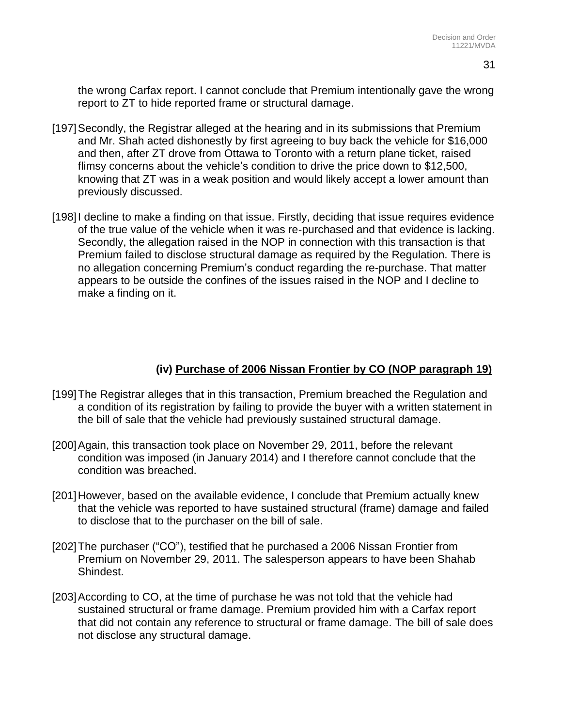the wrong Carfax report. I cannot conclude that Premium intentionally gave the wrong report to ZT to hide reported frame or structural damage.

- [197]Secondly, the Registrar alleged at the hearing and in its submissions that Premium and Mr. Shah acted dishonestly by first agreeing to buy back the vehicle for \$16,000 and then, after ZT drove from Ottawa to Toronto with a return plane ticket, raised flimsy concerns about the vehicle's condition to drive the price down to \$12,500, knowing that ZT was in a weak position and would likely accept a lower amount than previously discussed.
- [198] decline to make a finding on that issue. Firstly, deciding that issue requires evidence of the true value of the vehicle when it was re-purchased and that evidence is lacking. Secondly, the allegation raised in the NOP in connection with this transaction is that Premium failed to disclose structural damage as required by the Regulation. There is no allegation concerning Premium's conduct regarding the re-purchase. That matter appears to be outside the confines of the issues raised in the NOP and I decline to make a finding on it.

#### **(iv) Purchase of 2006 Nissan Frontier by CO (NOP paragraph 19)**

- [199]The Registrar alleges that in this transaction, Premium breached the Regulation and a condition of its registration by failing to provide the buyer with a written statement in the bill of sale that the vehicle had previously sustained structural damage.
- [200]Again, this transaction took place on November 29, 2011, before the relevant condition was imposed (in January 2014) and I therefore cannot conclude that the condition was breached.
- [201]However, based on the available evidence, I conclude that Premium actually knew that the vehicle was reported to have sustained structural (frame) damage and failed to disclose that to the purchaser on the bill of sale.
- [202]The purchaser ("CO"), testified that he purchased a 2006 Nissan Frontier from Premium on November 29, 2011. The salesperson appears to have been Shahab Shindest.
- [203]According to CO, at the time of purchase he was not told that the vehicle had sustained structural or frame damage. Premium provided him with a Carfax report that did not contain any reference to structural or frame damage. The bill of sale does not disclose any structural damage.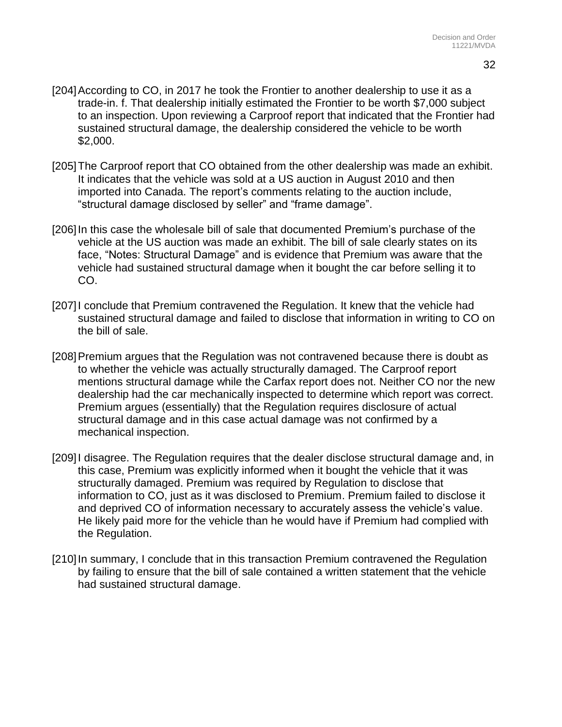- [204]According to CO, in 2017 he took the Frontier to another dealership to use it as a trade-in. f. That dealership initially estimated the Frontier to be worth \$7,000 subject to an inspection. Upon reviewing a Carproof report that indicated that the Frontier had sustained structural damage, the dealership considered the vehicle to be worth \$2,000.
- [205] The Carproof report that CO obtained from the other dealership was made an exhibit. It indicates that the vehicle was sold at a US auction in August 2010 and then imported into Canada. The report's comments relating to the auction include, "structural damage disclosed by seller" and "frame damage".
- [206] In this case the wholesale bill of sale that documented Premium's purchase of the vehicle at the US auction was made an exhibit. The bill of sale clearly states on its face, "Notes: Structural Damage" and is evidence that Premium was aware that the vehicle had sustained structural damage when it bought the car before selling it to CO.
- [207]I conclude that Premium contravened the Regulation. It knew that the vehicle had sustained structural damage and failed to disclose that information in writing to CO on the bill of sale.
- [208] Premium argues that the Regulation was not contravened because there is doubt as to whether the vehicle was actually structurally damaged. The Carproof report mentions structural damage while the Carfax report does not. Neither CO nor the new dealership had the car mechanically inspected to determine which report was correct. Premium argues (essentially) that the Regulation requires disclosure of actual structural damage and in this case actual damage was not confirmed by a mechanical inspection.
- [209]I disagree. The Regulation requires that the dealer disclose structural damage and, in this case, Premium was explicitly informed when it bought the vehicle that it was structurally damaged. Premium was required by Regulation to disclose that information to CO, just as it was disclosed to Premium. Premium failed to disclose it and deprived CO of information necessary to accurately assess the vehicle's value. He likely paid more for the vehicle than he would have if Premium had complied with the Regulation.
- [210] In summary, I conclude that in this transaction Premium contravened the Regulation by failing to ensure that the bill of sale contained a written statement that the vehicle had sustained structural damage.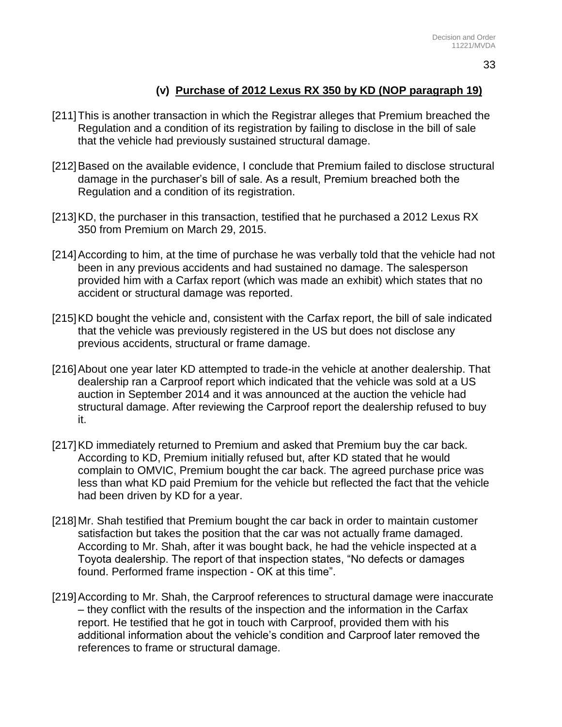# **(v) Purchase of 2012 Lexus RX 350 by KD (NOP paragraph 19)**

- [211]This is another transaction in which the Registrar alleges that Premium breached the Regulation and a condition of its registration by failing to disclose in the bill of sale that the vehicle had previously sustained structural damage.
- [212]Based on the available evidence, I conclude that Premium failed to disclose structural damage in the purchaser's bill of sale. As a result, Premium breached both the Regulation and a condition of its registration.
- [213]KD, the purchaser in this transaction, testified that he purchased a 2012 Lexus RX 350 from Premium on March 29, 2015.
- [214]According to him, at the time of purchase he was verbally told that the vehicle had not been in any previous accidents and had sustained no damage. The salesperson provided him with a Carfax report (which was made an exhibit) which states that no accident or structural damage was reported.
- [215]KD bought the vehicle and, consistent with the Carfax report, the bill of sale indicated that the vehicle was previously registered in the US but does not disclose any previous accidents, structural or frame damage.
- [216]About one year later KD attempted to trade-in the vehicle at another dealership. That dealership ran a Carproof report which indicated that the vehicle was sold at a US auction in September 2014 and it was announced at the auction the vehicle had structural damage. After reviewing the Carproof report the dealership refused to buy it.
- [217]KD immediately returned to Premium and asked that Premium buy the car back. According to KD, Premium initially refused but, after KD stated that he would complain to OMVIC, Premium bought the car back. The agreed purchase price was less than what KD paid Premium for the vehicle but reflected the fact that the vehicle had been driven by KD for a year.
- [218]Mr. Shah testified that Premium bought the car back in order to maintain customer satisfaction but takes the position that the car was not actually frame damaged. According to Mr. Shah, after it was bought back, he had the vehicle inspected at a Toyota dealership. The report of that inspection states, "No defects or damages found. Performed frame inspection - OK at this time".
- [219]According to Mr. Shah, the Carproof references to structural damage were inaccurate – they conflict with the results of the inspection and the information in the Carfax report. He testified that he got in touch with Carproof, provided them with his additional information about the vehicle's condition and Carproof later removed the references to frame or structural damage.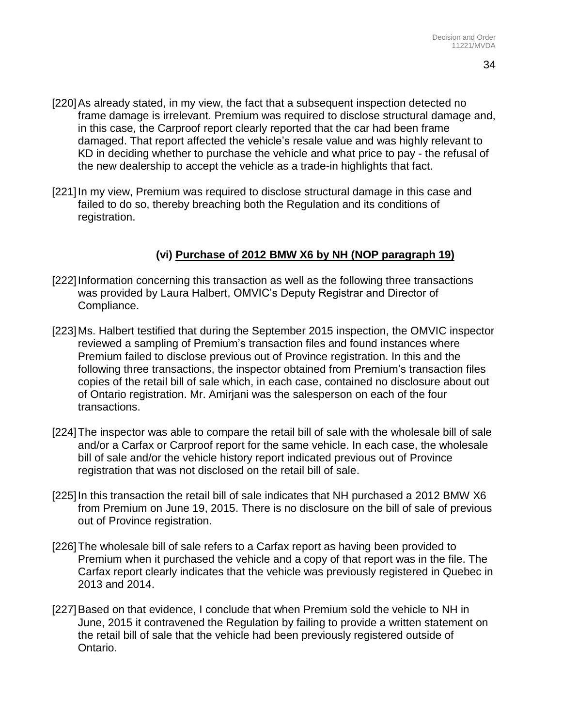- [220]As already stated, in my view, the fact that a subsequent inspection detected no frame damage is irrelevant. Premium was required to disclose structural damage and, in this case, the Carproof report clearly reported that the car had been frame damaged. That report affected the vehicle's resale value and was highly relevant to KD in deciding whether to purchase the vehicle and what price to pay - the refusal of the new dealership to accept the vehicle as a trade-in highlights that fact.
- [221] In my view, Premium was required to disclose structural damage in this case and failed to do so, thereby breaching both the Regulation and its conditions of registration.

#### **(vi) Purchase of 2012 BMW X6 by NH (NOP paragraph 19)**

- [222]Information concerning this transaction as well as the following three transactions was provided by Laura Halbert, OMVIC's Deputy Registrar and Director of Compliance.
- [223]Ms. Halbert testified that during the September 2015 inspection, the OMVIC inspector reviewed a sampling of Premium's transaction files and found instances where Premium failed to disclose previous out of Province registration. In this and the following three transactions, the inspector obtained from Premium's transaction files copies of the retail bill of sale which, in each case, contained no disclosure about out of Ontario registration. Mr. Amirjani was the salesperson on each of the four transactions.
- [224]The inspector was able to compare the retail bill of sale with the wholesale bill of sale and/or a Carfax or Carproof report for the same vehicle. In each case, the wholesale bill of sale and/or the vehicle history report indicated previous out of Province registration that was not disclosed on the retail bill of sale.
- [225]In this transaction the retail bill of sale indicates that NH purchased a 2012 BMW X6 from Premium on June 19, 2015. There is no disclosure on the bill of sale of previous out of Province registration.
- [226]The wholesale bill of sale refers to a Carfax report as having been provided to Premium when it purchased the vehicle and a copy of that report was in the file. The Carfax report clearly indicates that the vehicle was previously registered in Quebec in 2013 and 2014.
- [227]Based on that evidence, I conclude that when Premium sold the vehicle to NH in June, 2015 it contravened the Regulation by failing to provide a written statement on the retail bill of sale that the vehicle had been previously registered outside of Ontario.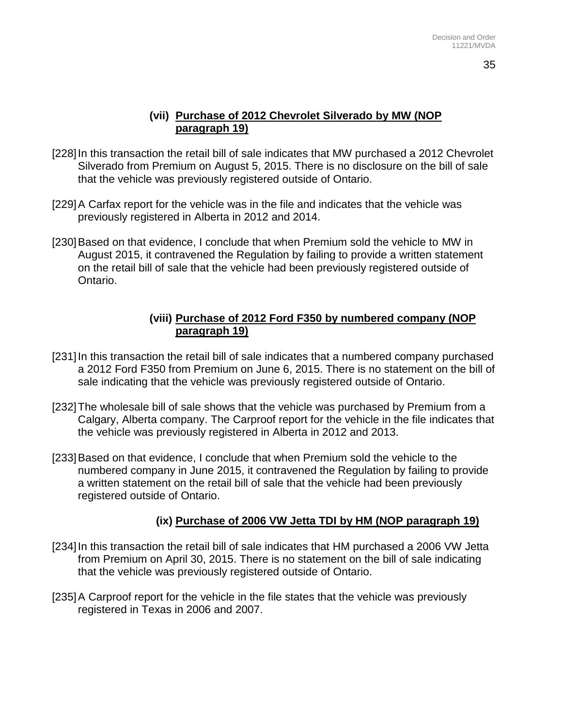#### **(vii) Purchase of 2012 Chevrolet Silverado by MW (NOP paragraph 19)**

- [228]In this transaction the retail bill of sale indicates that MW purchased a 2012 Chevrolet Silverado from Premium on August 5, 2015. There is no disclosure on the bill of sale that the vehicle was previously registered outside of Ontario.
- [229]A Carfax report for the vehicle was in the file and indicates that the vehicle was previously registered in Alberta in 2012 and 2014.
- [230]Based on that evidence, I conclude that when Premium sold the vehicle to MW in August 2015, it contravened the Regulation by failing to provide a written statement on the retail bill of sale that the vehicle had been previously registered outside of Ontario.

#### **(viii) Purchase of 2012 Ford F350 by numbered company (NOP paragraph 19)**

- [231]In this transaction the retail bill of sale indicates that a numbered company purchased a 2012 Ford F350 from Premium on June 6, 2015. There is no statement on the bill of sale indicating that the vehicle was previously registered outside of Ontario.
- [232]The wholesale bill of sale shows that the vehicle was purchased by Premium from a Calgary, Alberta company. The Carproof report for the vehicle in the file indicates that the vehicle was previously registered in Alberta in 2012 and 2013.
- [233]Based on that evidence, I conclude that when Premium sold the vehicle to the numbered company in June 2015, it contravened the Regulation by failing to provide a written statement on the retail bill of sale that the vehicle had been previously registered outside of Ontario.

### **(ix) Purchase of 2006 VW Jetta TDI by HM (NOP paragraph 19)**

- [234]In this transaction the retail bill of sale indicates that HM purchased a 2006 VW Jetta from Premium on April 30, 2015. There is no statement on the bill of sale indicating that the vehicle was previously registered outside of Ontario.
- [235]A Carproof report for the vehicle in the file states that the vehicle was previously registered in Texas in 2006 and 2007.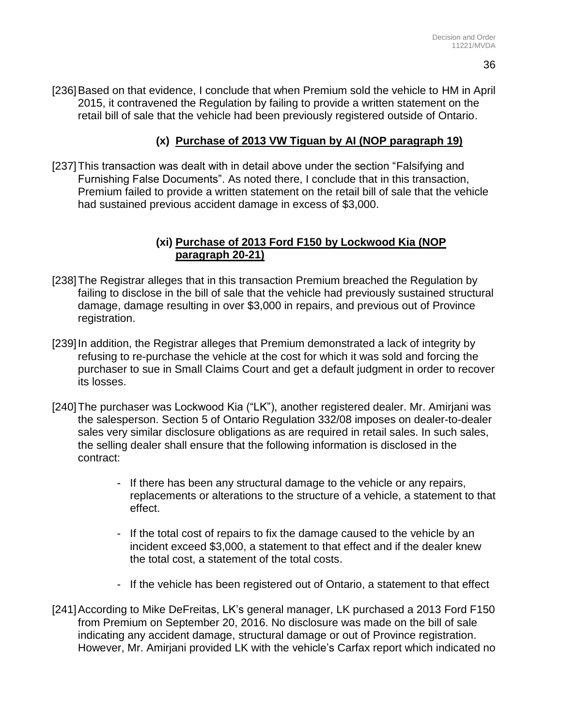[236]Based on that evidence, I conclude that when Premium sold the vehicle to HM in April 2015, it contravened the Regulation by failing to provide a written statement on the retail bill of sale that the vehicle had been previously registered outside of Ontario.

### **(x) Purchase of 2013 VW Tiguan by AI (NOP paragraph 19)**

[237] This transaction was dealt with in detail above under the section "Falsifying and Furnishing False Documents". As noted there, I conclude that in this transaction, Premium failed to provide a written statement on the retail bill of sale that the vehicle had sustained previous accident damage in excess of \$3,000.

#### **(xi) Purchase of 2013 Ford F150 by Lockwood Kia (NOP paragraph 20-21)**

- [238]The Registrar alleges that in this transaction Premium breached the Regulation by failing to disclose in the bill of sale that the vehicle had previously sustained structural damage, damage resulting in over \$3,000 in repairs, and previous out of Province registration.
- [239] In addition, the Registrar alleges that Premium demonstrated a lack of integrity by refusing to re-purchase the vehicle at the cost for which it was sold and forcing the purchaser to sue in Small Claims Court and get a default judgment in order to recover its losses.
- [240]The purchaser was Lockwood Kia ("LK"), another registered dealer. Mr. Amirjani was the salesperson. Section 5 of Ontario Regulation 332/08 imposes on dealer-to-dealer sales very similar disclosure obligations as are required in retail sales. In such sales, the selling dealer shall ensure that the following information is disclosed in the contract:
	- If there has been any structural damage to the vehicle or any repairs, replacements or alterations to the structure of a vehicle, a statement to that effect.
	- If the total cost of repairs to fix the damage caused to the vehicle by an incident exceed \$3,000, a statement to that effect and if the dealer knew the total cost, a statement of the total costs.
	- If the vehicle has been registered out of Ontario, a statement to that effect
- [241]According to Mike DeFreitas, LK's general manager, LK purchased a 2013 Ford F150 from Premium on September 20, 2016. No disclosure was made on the bill of sale indicating any accident damage, structural damage or out of Province registration. However, Mr. Amirjani provided LK with the vehicle's Carfax report which indicated no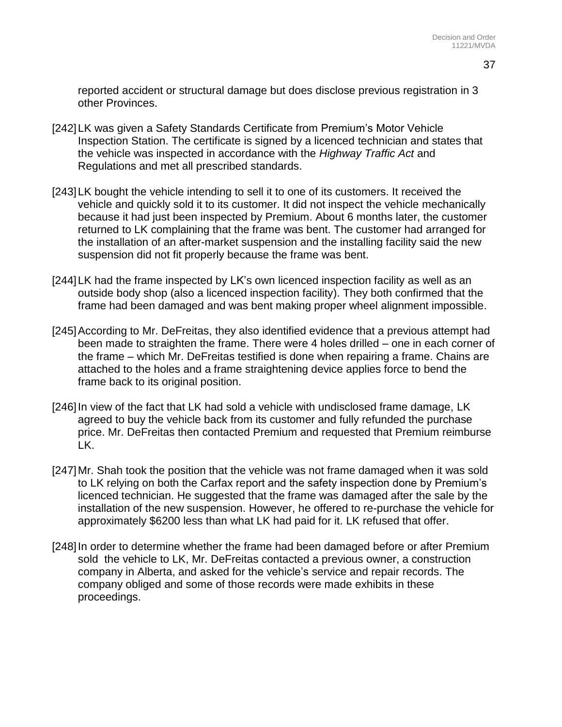reported accident or structural damage but does disclose previous registration in 3 other Provinces.

- [242]LK was given a Safety Standards Certificate from Premium's Motor Vehicle Inspection Station. The certificate is signed by a licenced technician and states that the vehicle was inspected in accordance with the *Highway Traffic Act* and Regulations and met all prescribed standards.
- [243]LK bought the vehicle intending to sell it to one of its customers. It received the vehicle and quickly sold it to its customer. It did not inspect the vehicle mechanically because it had just been inspected by Premium. About 6 months later, the customer returned to LK complaining that the frame was bent. The customer had arranged for the installation of an after-market suspension and the installing facility said the new suspension did not fit properly because the frame was bent.
- [244]LK had the frame inspected by LK's own licenced inspection facility as well as an outside body shop (also a licenced inspection facility). They both confirmed that the frame had been damaged and was bent making proper wheel alignment impossible.
- [245]According to Mr. DeFreitas, they also identified evidence that a previous attempt had been made to straighten the frame. There were 4 holes drilled – one in each corner of the frame – which Mr. DeFreitas testified is done when repairing a frame. Chains are attached to the holes and a frame straightening device applies force to bend the frame back to its original position.
- [246] In view of the fact that LK had sold a vehicle with undisclosed frame damage, LK agreed to buy the vehicle back from its customer and fully refunded the purchase price. Mr. DeFreitas then contacted Premium and requested that Premium reimburse LK.
- [247]Mr. Shah took the position that the vehicle was not frame damaged when it was sold to LK relying on both the Carfax report and the safety inspection done by Premium's licenced technician. He suggested that the frame was damaged after the sale by the installation of the new suspension. However, he offered to re-purchase the vehicle for approximately \$6200 less than what LK had paid for it. LK refused that offer.
- [248]In order to determine whether the frame had been damaged before or after Premium sold the vehicle to LK, Mr. DeFreitas contacted a previous owner, a construction company in Alberta, and asked for the vehicle's service and repair records. The company obliged and some of those records were made exhibits in these proceedings.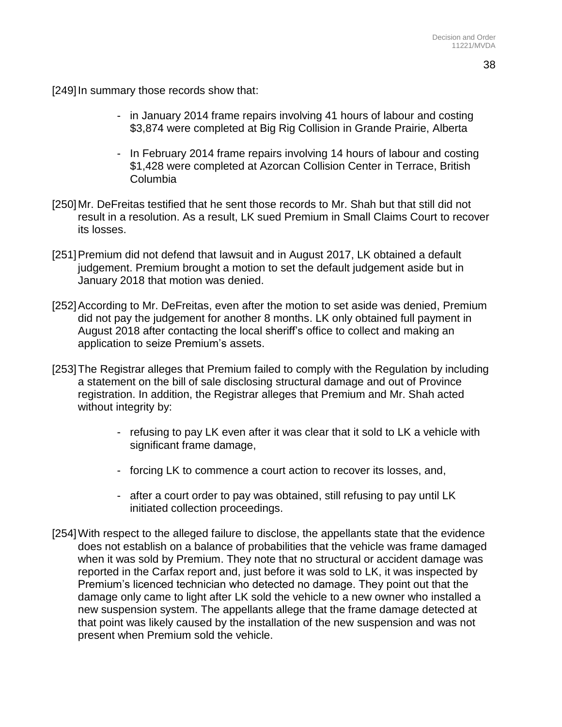[249] In summary those records show that:

- in January 2014 frame repairs involving 41 hours of labour and costing \$3,874 were completed at Big Rig Collision in Grande Prairie, Alberta
- In February 2014 frame repairs involving 14 hours of labour and costing \$1,428 were completed at Azorcan Collision Center in Terrace, British Columbia
- [250]Mr. DeFreitas testified that he sent those records to Mr. Shah but that still did not result in a resolution. As a result, LK sued Premium in Small Claims Court to recover its losses.
- [251]Premium did not defend that lawsuit and in August 2017, LK obtained a default judgement. Premium brought a motion to set the default judgement aside but in January 2018 that motion was denied.
- [252]According to Mr. DeFreitas, even after the motion to set aside was denied, Premium did not pay the judgement for another 8 months. LK only obtained full payment in August 2018 after contacting the local sheriff's office to collect and making an application to seize Premium's assets.
- [253]The Registrar alleges that Premium failed to comply with the Regulation by including a statement on the bill of sale disclosing structural damage and out of Province registration. In addition, the Registrar alleges that Premium and Mr. Shah acted without integrity by:
	- refusing to pay LK even after it was clear that it sold to LK a vehicle with significant frame damage,
	- forcing LK to commence a court action to recover its losses, and,
	- after a court order to pay was obtained, still refusing to pay until LK initiated collection proceedings.
- [254]With respect to the alleged failure to disclose, the appellants state that the evidence does not establish on a balance of probabilities that the vehicle was frame damaged when it was sold by Premium. They note that no structural or accident damage was reported in the Carfax report and, just before it was sold to LK, it was inspected by Premium's licenced technician who detected no damage. They point out that the damage only came to light after LK sold the vehicle to a new owner who installed a new suspension system. The appellants allege that the frame damage detected at that point was likely caused by the installation of the new suspension and was not present when Premium sold the vehicle.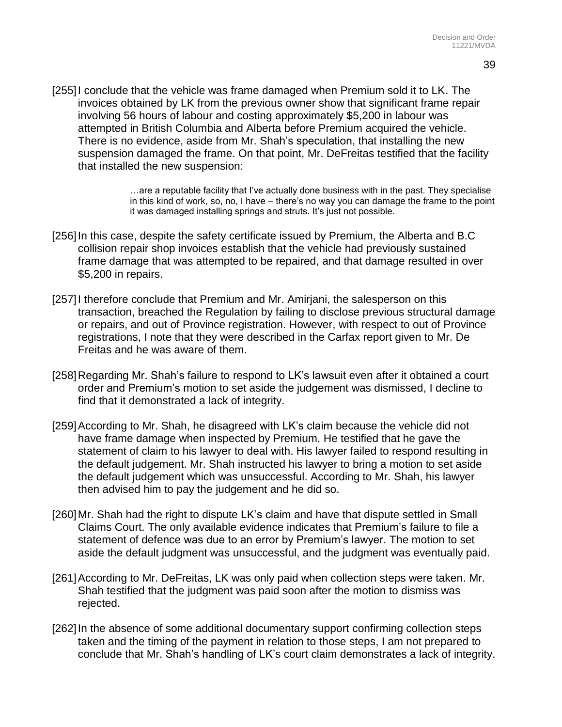[255]I conclude that the vehicle was frame damaged when Premium sold it to LK. The invoices obtained by LK from the previous owner show that significant frame repair involving 56 hours of labour and costing approximately \$5,200 in labour was attempted in British Columbia and Alberta before Premium acquired the vehicle. There is no evidence, aside from Mr. Shah's speculation, that installing the new suspension damaged the frame. On that point, Mr. DeFreitas testified that the facility that installed the new suspension:

> …are a reputable facility that I've actually done business with in the past. They specialise in this kind of work, so, no, I have – there's no way you can damage the frame to the point it was damaged installing springs and struts. It's just not possible.

- [256] In this case, despite the safety certificate issued by Premium, the Alberta and B.C collision repair shop invoices establish that the vehicle had previously sustained frame damage that was attempted to be repaired, and that damage resulted in over \$5,200 in repairs.
- [257] I therefore conclude that Premium and Mr. Amiriani, the salesperson on this transaction, breached the Regulation by failing to disclose previous structural damage or repairs, and out of Province registration. However, with respect to out of Province registrations, I note that they were described in the Carfax report given to Mr. De Freitas and he was aware of them.
- [258]Regarding Mr. Shah's failure to respond to LK's lawsuit even after it obtained a court order and Premium's motion to set aside the judgement was dismissed, I decline to find that it demonstrated a lack of integrity.
- [259]According to Mr. Shah, he disagreed with LK's claim because the vehicle did not have frame damage when inspected by Premium. He testified that he gave the statement of claim to his lawyer to deal with. His lawyer failed to respond resulting in the default judgement. Mr. Shah instructed his lawyer to bring a motion to set aside the default judgement which was unsuccessful. According to Mr. Shah, his lawyer then advised him to pay the judgement and he did so.
- [260]Mr. Shah had the right to dispute LK's claim and have that dispute settled in Small Claims Court. The only available evidence indicates that Premium's failure to file a statement of defence was due to an error by Premium's lawyer. The motion to set aside the default judgment was unsuccessful, and the judgment was eventually paid.
- [261] According to Mr. DeFreitas, LK was only paid when collection steps were taken. Mr. Shah testified that the judgment was paid soon after the motion to dismiss was rejected.
- [262]In the absence of some additional documentary support confirming collection steps taken and the timing of the payment in relation to those steps, I am not prepared to conclude that Mr. Shah's handling of LK's court claim demonstrates a lack of integrity.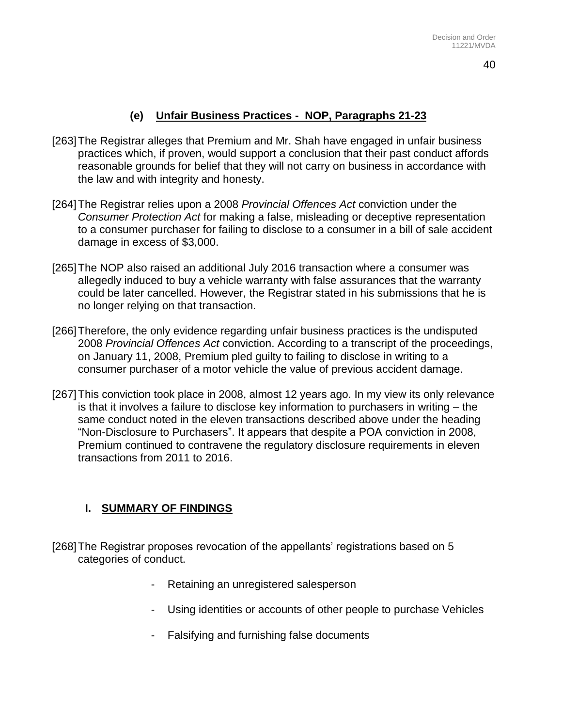## **(e) Unfair Business Practices - NOP, Paragraphs 21-23**

- [263]The Registrar alleges that Premium and Mr. Shah have engaged in unfair business practices which, if proven, would support a conclusion that their past conduct affords reasonable grounds for belief that they will not carry on business in accordance with the law and with integrity and honesty.
- [264]The Registrar relies upon a 2008 *Provincial Offences Act* conviction under the *Consumer Protection Act* for making a false, misleading or deceptive representation to a consumer purchaser for failing to disclose to a consumer in a bill of sale accident damage in excess of \$3,000.
- [265]The NOP also raised an additional July 2016 transaction where a consumer was allegedly induced to buy a vehicle warranty with false assurances that the warranty could be later cancelled. However, the Registrar stated in his submissions that he is no longer relying on that transaction.
- [266]Therefore, the only evidence regarding unfair business practices is the undisputed 2008 *Provincial Offences Act* conviction. According to a transcript of the proceedings, on January 11, 2008, Premium pled guilty to failing to disclose in writing to a consumer purchaser of a motor vehicle the value of previous accident damage.
- [267]This conviction took place in 2008, almost 12 years ago. In my view its only relevance is that it involves a failure to disclose key information to purchasers in writing – the same conduct noted in the eleven transactions described above under the heading "Non-Disclosure to Purchasers". It appears that despite a POA conviction in 2008, Premium continued to contravene the regulatory disclosure requirements in eleven transactions from 2011 to 2016.

### **I. SUMMARY OF FINDINGS**

- [268]The Registrar proposes revocation of the appellants' registrations based on 5 categories of conduct.
	- Retaining an unregistered salesperson
	- Using identities or accounts of other people to purchase Vehicles
	- Falsifying and furnishing false documents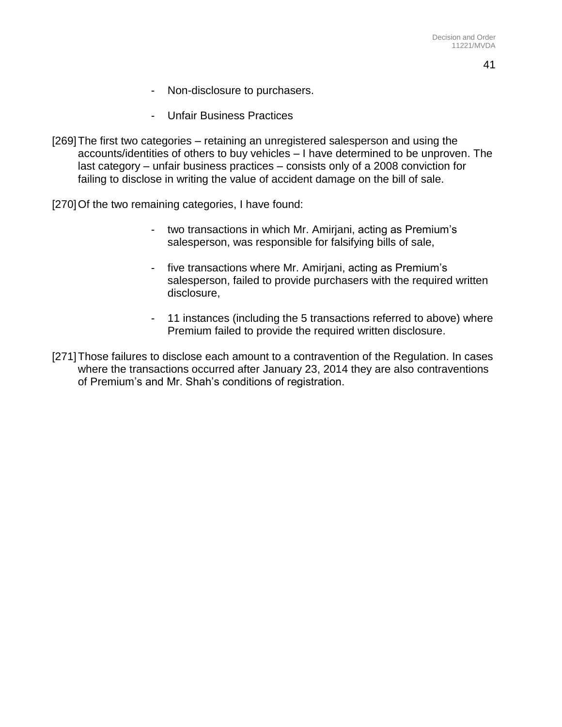41

- Non-disclosure to purchasers.
- Unfair Business Practices
- [269]The first two categories retaining an unregistered salesperson and using the accounts/identities of others to buy vehicles – I have determined to be unproven. The last category – unfair business practices – consists only of a 2008 conviction for failing to disclose in writing the value of accident damage on the bill of sale.

[270] Of the two remaining categories, I have found:

- two transactions in which Mr. Amirjani, acting as Premium's salesperson, was responsible for falsifying bills of sale,
- five transactions where Mr. Amirjani, acting as Premium's salesperson, failed to provide purchasers with the required written disclosure,
- 11 instances (including the 5 transactions referred to above) where Premium failed to provide the required written disclosure.
- [271]Those failures to disclose each amount to a contravention of the Regulation. In cases where the transactions occurred after January 23, 2014 they are also contraventions of Premium's and Mr. Shah's conditions of registration.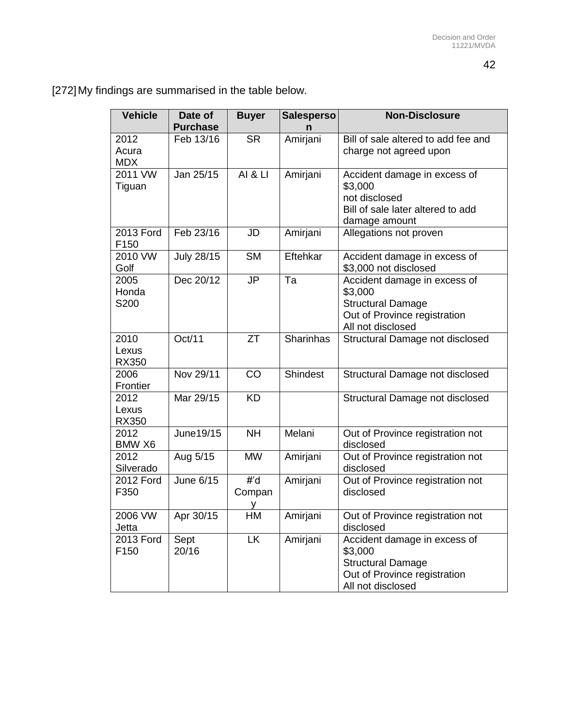[272]My findings are summarised in the table below.

| <b>Vehicle</b>                | Date of<br><b>Purchase</b> | <b>Buyer</b>       | <b>Salesperso</b><br>n | <b>Non-Disclosure</b>                                                                                                    |
|-------------------------------|----------------------------|--------------------|------------------------|--------------------------------------------------------------------------------------------------------------------------|
| 2012<br>Acura<br><b>MDX</b>   | Feb 13/16                  | <b>SR</b>          | Amirjani               | Bill of sale altered to add fee and<br>charge not agreed upon                                                            |
| 2011 VW<br>Tiguan             | Jan 25/15                  | <b>AI &amp; LI</b> | Amirjani               | Accident damage in excess of<br>\$3,000<br>not disclosed<br>Bill of sale later altered to add<br>damage amount           |
| <b>2013 Ford</b><br>F150      | Feb 23/16                  | JD                 | Amirjani               | Allegations not proven                                                                                                   |
| 2010 VW<br>Golf               | <b>July 28/15</b>          | <b>SM</b>          | Eftehkar               | Accident damage in excess of<br>\$3,000 not disclosed                                                                    |
| 2005<br>Honda<br>S200         | Dec 20/12                  | JP                 | Ta                     | Accident damage in excess of<br>\$3,000<br><b>Structural Damage</b><br>Out of Province registration<br>All not disclosed |
| 2010<br>Lexus<br><b>RX350</b> | Oct/11                     | <b>ZT</b>          | Sharinhas              | Structural Damage not disclosed                                                                                          |
| 2006<br>Frontier              | Nov 29/11                  | CO                 | <b>Shindest</b>        | Structural Damage not disclosed                                                                                          |
| 2012<br>Lexus<br>RX350        | Mar 29/15                  | <b>KD</b>          |                        | Structural Damage not disclosed                                                                                          |
| 2012<br>BMW X6                | June19/15                  | <b>NH</b>          | Melani                 | Out of Province registration not<br>disclosed                                                                            |
| 2012<br>Silverado             | Aug 5/15                   | <b>MW</b>          | Amirjani               | Out of Province registration not<br>disclosed                                                                            |
| 2012 Ford<br>F350             | June 6/15                  | #'d<br>Compan<br>у | Amirjani               | Out of Province registration not<br>disclosed                                                                            |
| 2006 VW<br>Jetta              | Apr 30/15                  | HM                 | Amirjani               | Out of Province registration not<br>disclosed                                                                            |
| 2013 Ford<br>F150             | Sept<br>20/16              | <b>LK</b>          | Amirjani               | Accident damage in excess of<br>\$3,000<br><b>Structural Damage</b><br>Out of Province registration<br>All not disclosed |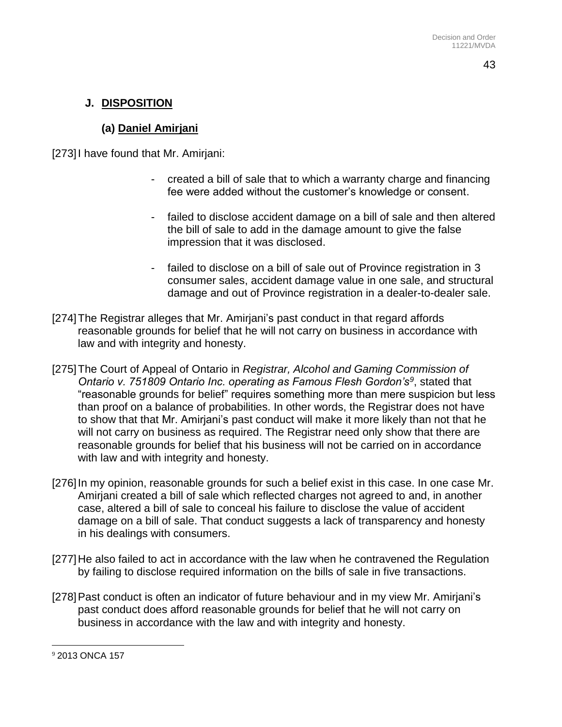# **J. DISPOSITION**

# **(a) Daniel Amirjani**

[273]I have found that Mr. Amirjani:

- created a bill of sale that to which a warranty charge and financing fee were added without the customer's knowledge or consent.
- failed to disclose accident damage on a bill of sale and then altered the bill of sale to add in the damage amount to give the false impression that it was disclosed.
- failed to disclose on a bill of sale out of Province registration in 3 consumer sales, accident damage value in one sale, and structural damage and out of Province registration in a dealer-to-dealer sale.
- [274]The Registrar alleges that Mr. Amirjani's past conduct in that regard affords reasonable grounds for belief that he will not carry on business in accordance with law and with integrity and honesty.
- [275]The Court of Appeal of Ontario in *Registrar, Alcohol and Gaming Commission of Ontario v. 751809 Ontario Inc. operating as Famous Flesh Gordon's<sup>9</sup>* , stated that "reasonable grounds for belief" requires something more than mere suspicion but less than proof on a balance of probabilities. In other words, the Registrar does not have to show that that Mr. Amirjani's past conduct will make it more likely than not that he will not carry on business as required. The Registrar need only show that there are reasonable grounds for belief that his business will not be carried on in accordance with law and with integrity and honesty.
- [276] In my opinion, reasonable grounds for such a belief exist in this case. In one case Mr. Amirjani created a bill of sale which reflected charges not agreed to and, in another case, altered a bill of sale to conceal his failure to disclose the value of accident damage on a bill of sale. That conduct suggests a lack of transparency and honesty in his dealings with consumers.
- [277]He also failed to act in accordance with the law when he contravened the Regulation by failing to disclose required information on the bills of sale in five transactions.
- [278]Past conduct is often an indicator of future behaviour and in my view Mr. Amirjani's past conduct does afford reasonable grounds for belief that he will not carry on business in accordance with the law and with integrity and honesty.

 $\overline{a}$ <sup>9</sup> 2013 ONCA 157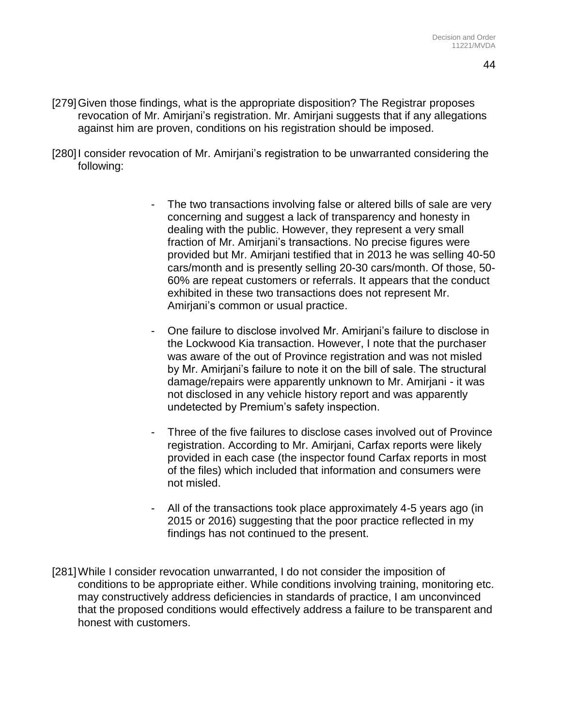- [279]Given those findings, what is the appropriate disposition? The Registrar proposes revocation of Mr. Amirjani's registration. Mr. Amirjani suggests that if any allegations against him are proven, conditions on his registration should be imposed.
- [280]I consider revocation of Mr. Amirjani's registration to be unwarranted considering the following:
	- The two transactions involving false or altered bills of sale are very concerning and suggest a lack of transparency and honesty in dealing with the public. However, they represent a very small fraction of Mr. Amirjani's transactions. No precise figures were provided but Mr. Amirjani testified that in 2013 he was selling 40-50 cars/month and is presently selling 20-30 cars/month. Of those, 50- 60% are repeat customers or referrals. It appears that the conduct exhibited in these two transactions does not represent Mr. Amirjani's common or usual practice.
	- One failure to disclose involved Mr. Amirjani's failure to disclose in the Lockwood Kia transaction. However, I note that the purchaser was aware of the out of Province registration and was not misled by Mr. Amirjani's failure to note it on the bill of sale. The structural damage/repairs were apparently unknown to Mr. Amirjani - it was not disclosed in any vehicle history report and was apparently undetected by Premium's safety inspection.
	- Three of the five failures to disclose cases involved out of Province registration. According to Mr. Amirjani, Carfax reports were likely provided in each case (the inspector found Carfax reports in most of the files) which included that information and consumers were not misled.
	- All of the transactions took place approximately 4-5 years ago (in 2015 or 2016) suggesting that the poor practice reflected in my findings has not continued to the present.
- [281]While I consider revocation unwarranted, I do not consider the imposition of conditions to be appropriate either. While conditions involving training, monitoring etc. may constructively address deficiencies in standards of practice, I am unconvinced that the proposed conditions would effectively address a failure to be transparent and honest with customers.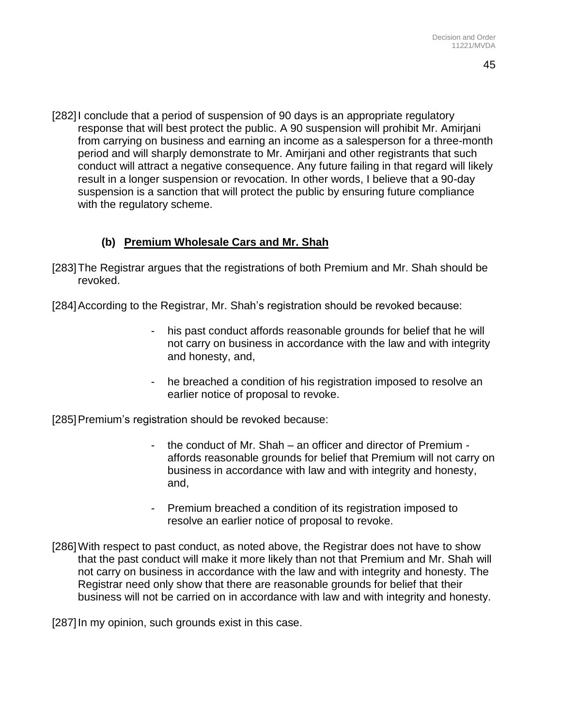[282]I conclude that a period of suspension of 90 days is an appropriate regulatory response that will best protect the public. A 90 suspension will prohibit Mr. Amirjani from carrying on business and earning an income as a salesperson for a three-month period and will sharply demonstrate to Mr. Amirjani and other registrants that such conduct will attract a negative consequence. Any future failing in that regard will likely result in a longer suspension or revocation. In other words, I believe that a 90-day suspension is a sanction that will protect the public by ensuring future compliance with the regulatory scheme.

### **(b) Premium Wholesale Cars and Mr. Shah**

- [283]The Registrar argues that the registrations of both Premium and Mr. Shah should be revoked.
- [284]According to the Registrar, Mr. Shah's registration should be revoked because:
	- his past conduct affords reasonable grounds for belief that he will not carry on business in accordance with the law and with integrity and honesty, and,
	- he breached a condition of his registration imposed to resolve an earlier notice of proposal to revoke.

[285]Premium's registration should be revoked because:

- the conduct of Mr. Shah an officer and director of Premium affords reasonable grounds for belief that Premium will not carry on business in accordance with law and with integrity and honesty, and,
- Premium breached a condition of its registration imposed to resolve an earlier notice of proposal to revoke.
- [286]With respect to past conduct, as noted above, the Registrar does not have to show that the past conduct will make it more likely than not that Premium and Mr. Shah will not carry on business in accordance with the law and with integrity and honesty. The Registrar need only show that there are reasonable grounds for belief that their business will not be carried on in accordance with law and with integrity and honesty.

[287]In my opinion, such grounds exist in this case.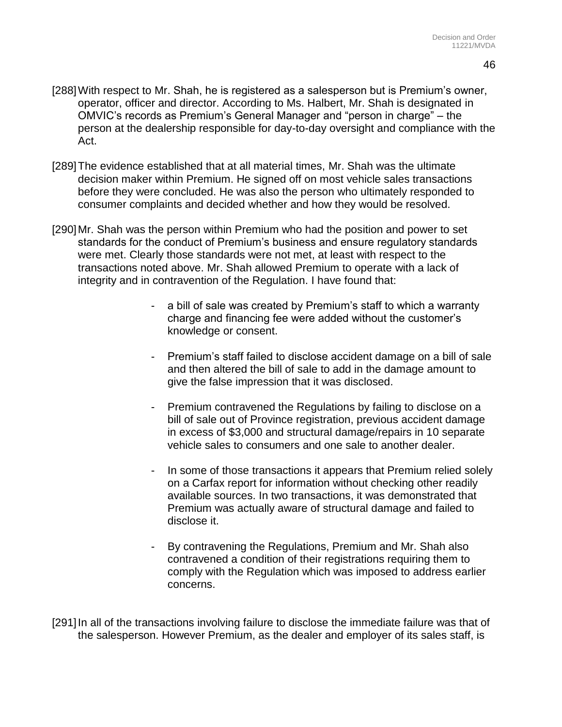- [288]With respect to Mr. Shah, he is registered as a salesperson but is Premium's owner, operator, officer and director. According to Ms. Halbert, Mr. Shah is designated in OMVIC's records as Premium's General Manager and "person in charge" – the person at the dealership responsible for day-to-day oversight and compliance with the Act.
- [289]The evidence established that at all material times, Mr. Shah was the ultimate decision maker within Premium. He signed off on most vehicle sales transactions before they were concluded. He was also the person who ultimately responded to consumer complaints and decided whether and how they would be resolved.
- [290]Mr. Shah was the person within Premium who had the position and power to set standards for the conduct of Premium's business and ensure regulatory standards were met. Clearly those standards were not met, at least with respect to the transactions noted above. Mr. Shah allowed Premium to operate with a lack of integrity and in contravention of the Regulation. I have found that:
	- a bill of sale was created by Premium's staff to which a warranty charge and financing fee were added without the customer's knowledge or consent.
	- Premium's staff failed to disclose accident damage on a bill of sale and then altered the bill of sale to add in the damage amount to give the false impression that it was disclosed.
	- Premium contravened the Regulations by failing to disclose on a bill of sale out of Province registration, previous accident damage in excess of \$3,000 and structural damage/repairs in 10 separate vehicle sales to consumers and one sale to another dealer.
	- In some of those transactions it appears that Premium relied solely on a Carfax report for information without checking other readily available sources. In two transactions, it was demonstrated that Premium was actually aware of structural damage and failed to disclose it.
	- By contravening the Regulations, Premium and Mr. Shah also contravened a condition of their registrations requiring them to comply with the Regulation which was imposed to address earlier concerns.

[291]In all of the transactions involving failure to disclose the immediate failure was that of the salesperson. However Premium, as the dealer and employer of its sales staff, is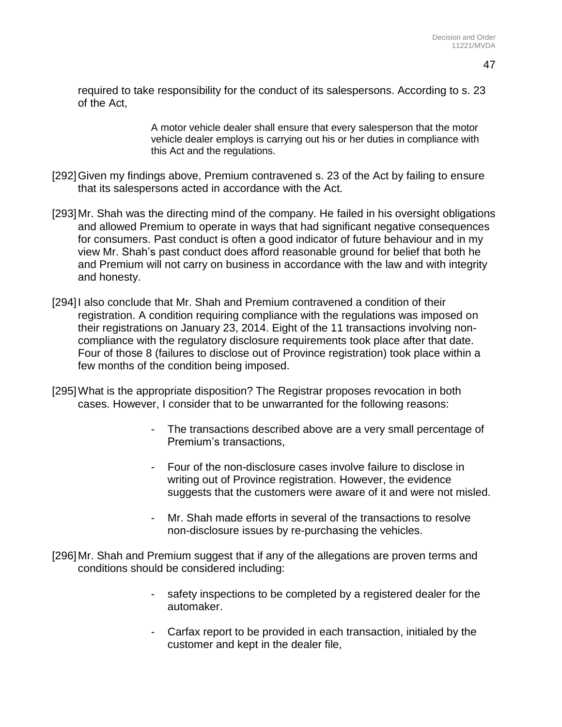required to take responsibility for the conduct of its salespersons. According to s. 23 of the Act,

> A motor vehicle dealer shall ensure that every salesperson that the motor vehicle dealer employs is carrying out his or her duties in compliance with this Act and the regulations.

- [292]Given my findings above, Premium contravened s. 23 of the Act by failing to ensure that its salespersons acted in accordance with the Act.
- [293]Mr. Shah was the directing mind of the company. He failed in his oversight obligations and allowed Premium to operate in ways that had significant negative consequences for consumers. Past conduct is often a good indicator of future behaviour and in my view Mr. Shah's past conduct does afford reasonable ground for belief that both he and Premium will not carry on business in accordance with the law and with integrity and honesty.
- [294]I also conclude that Mr. Shah and Premium contravened a condition of their registration. A condition requiring compliance with the regulations was imposed on their registrations on January 23, 2014. Eight of the 11 transactions involving noncompliance with the regulatory disclosure requirements took place after that date. Four of those 8 (failures to disclose out of Province registration) took place within a few months of the condition being imposed.
- [295]What is the appropriate disposition? The Registrar proposes revocation in both cases. However, I consider that to be unwarranted for the following reasons:
	- The transactions described above are a very small percentage of Premium's transactions,
	- Four of the non-disclosure cases involve failure to disclose in writing out of Province registration. However, the evidence suggests that the customers were aware of it and were not misled.
	- Mr. Shah made efforts in several of the transactions to resolve non-disclosure issues by re-purchasing the vehicles.
- [296]Mr. Shah and Premium suggest that if any of the allegations are proven terms and conditions should be considered including:
	- safety inspections to be completed by a registered dealer for the automaker.
	- Carfax report to be provided in each transaction, initialed by the customer and kept in the dealer file,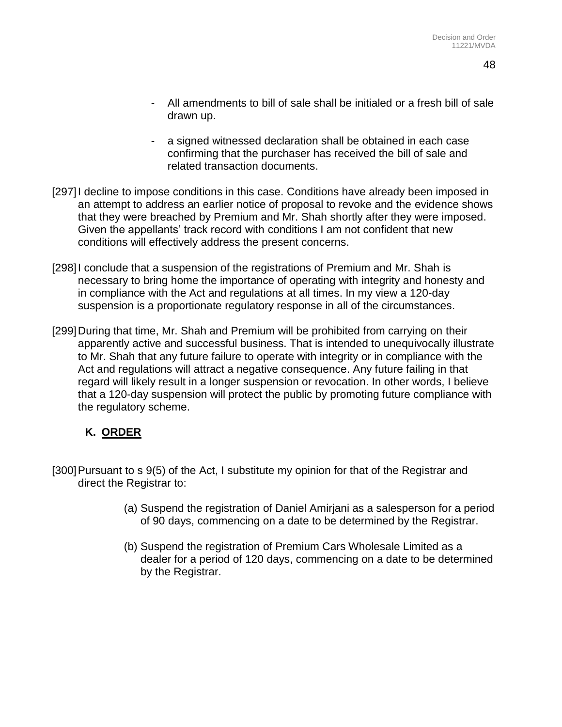- All amendments to bill of sale shall be initialed or a fresh bill of sale drawn up.
- a signed witnessed declaration shall be obtained in each case confirming that the purchaser has received the bill of sale and related transaction documents.
- [297]I decline to impose conditions in this case. Conditions have already been imposed in an attempt to address an earlier notice of proposal to revoke and the evidence shows that they were breached by Premium and Mr. Shah shortly after they were imposed. Given the appellants' track record with conditions I am not confident that new conditions will effectively address the present concerns.
- [298] conclude that a suspension of the registrations of Premium and Mr. Shah is necessary to bring home the importance of operating with integrity and honesty and in compliance with the Act and regulations at all times. In my view a 120-day suspension is a proportionate regulatory response in all of the circumstances.
- [299]During that time, Mr. Shah and Premium will be prohibited from carrying on their apparently active and successful business. That is intended to unequivocally illustrate to Mr. Shah that any future failure to operate with integrity or in compliance with the Act and regulations will attract a negative consequence. Any future failing in that regard will likely result in a longer suspension or revocation. In other words, I believe that a 120-day suspension will protect the public by promoting future compliance with the regulatory scheme.

# **K. ORDER**

- [300]Pursuant to s 9(5) of the Act, I substitute my opinion for that of the Registrar and direct the Registrar to:
	- (a) Suspend the registration of Daniel Amirjani as a salesperson for a period of 90 days, commencing on a date to be determined by the Registrar.
	- (b) Suspend the registration of Premium Cars Wholesale Limited as a dealer for a period of 120 days, commencing on a date to be determined by the Registrar.